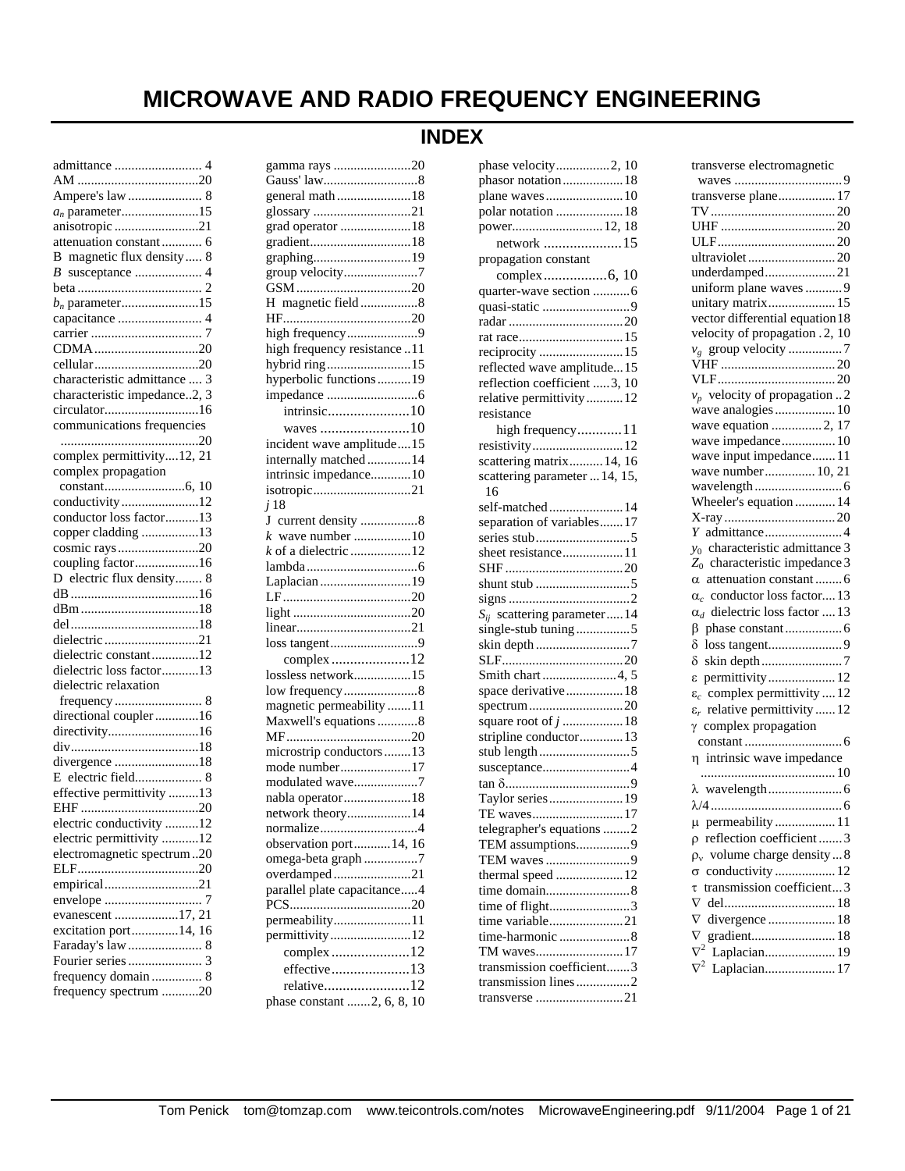# **MICROWAVE AND RADIO FREQUENCY ENGINEERING**

| $a_n$ parameter15            |
|------------------------------|
| anisotropic 21               |
| attenuation constant  6      |
| B magnetic flux density  8   |
|                              |
|                              |
| $b_n$ parameter15            |
| capacitance  4               |
|                              |
| CDMA20                       |
|                              |
| characteristic admittance  3 |
| characteristic impedance2, 3 |
| circulator16                 |
| communications frequencies   |
|                              |
| complex permittivity12, 21   |
| complex propagation          |
|                              |
| conductivity12               |
| conductor loss factor13      |
|                              |
| copper cladding 13           |
| cosmic rays20                |
| coupling factor16            |
| D electric flux density 8    |
|                              |
|                              |
|                              |
| dielectric 21                |
| dielectric constant12        |
| dielectric loss factor13     |
| dielectric relaxation        |
|                              |
| directional coupler 16       |
| directivity16                |
|                              |
| divergence 18                |
| E electric field 8           |
| effective permittivity 13    |
|                              |
| electric conductivity 12     |
| electric permittivity 12     |
| electromagnetic spectrum20   |
|                              |
| empirical21                  |
| envelope<br>7                |
| evanescent 17, 21            |
| excitation port14, 16        |
| Faraday's law  8             |
|                              |
| frequency domain  8          |
| frequency spectrum 20        |
|                              |

# **INDEX**

| gamma rays 20                |
|------------------------------|
|                              |
| general math18               |
| glossary 21                  |
| grad operator 18             |
| gradient18                   |
| graphing19                   |
| group velocity7              |
|                              |
| H magnetic field8            |
|                              |
| high frequency9              |
| high frequency resistance 11 |
| hybrid ring15                |
| hyperbolic functions19       |
|                              |
| intrinsic10                  |
| waves 10                     |
| incident wave amplitude15    |
| internally matched14         |
| intrinsic impedance10        |
| isotropic21                  |
| j <sub>18</sub>              |
| J current density 8          |
|                              |
| $k$ of a dielectric 12       |
|                              |
| Laplacian 19                 |
|                              |
|                              |
|                              |
| loss tangent9                |
| complex12                    |
| lossless network15           |
| low frequency8               |
| magnetic permeability 11     |
| Maxwell's equations 8        |
|                              |
| microstrip conductors  13    |
| mode number17                |
| modulated wave7              |
| nabla operator18             |
| network theory14             |
| normalize4                   |
| observation port 14, 16      |
| omega-beta graph7            |
| overdamped21                 |
| parallel plate capacitance4  |
|                              |
| permeability11               |
| permittivity12               |
| complex12                    |
| effective13                  |
|                              |
| relative12                   |

| phase velocity2, 10                  |
|--------------------------------------|
| phasor notation 18                   |
| plane waves 10                       |
| polar notation  18                   |
|                                      |
| power 12, 18                         |
| network 15                           |
| propagation constant                 |
|                                      |
| quarter-wave section 6               |
| quasi-static 9                       |
|                                      |
|                                      |
| reciprocity 15                       |
| reflected wave amplitude15           |
| reflection coefficient 3, 10         |
| relative permittivity12              |
| resistance                           |
|                                      |
| high frequency11                     |
| resistivity12                        |
| scattering matrix 14, 16             |
| scattering parameter  14, 15,        |
| 16                                   |
| self-matched 14                      |
| separation of variables17            |
|                                      |
| sheet resistance11                   |
|                                      |
| shunt stub 5                         |
|                                      |
| $S_{ij}$ scattering parameter 14     |
| single-stub tuning5                  |
| skin depth7                          |
|                                      |
|                                      |
|                                      |
| space derivative 18                  |
| spectrum20                           |
| square root of $j$ 18                |
| stripline conductor 13               |
| stub length 5                        |
|                                      |
| susceptance4                         |
|                                      |
| Taylor series 19                     |
|                                      |
| TE waves17                           |
| telegrapher's equations 2            |
| TEM assumptions9                     |
| TEM waves 9                          |
| thermal speed 12                     |
| time domain8                         |
| time of flight3                      |
| time variable21                      |
|                                      |
| TM waves17                           |
| transmission coefficient3            |
| transmission lines2<br>transverse 21 |

| transverse electromagnetic                              |
|---------------------------------------------------------|
|                                                         |
| transverse plane 17                                     |
|                                                         |
|                                                         |
|                                                         |
| ultraviolet 20                                          |
| underdamped21                                           |
| uniform plane waves  9                                  |
| unitary matrix 15                                       |
| vector differential equation 18                         |
| velocity of propagation . 2, 10                         |
|                                                         |
|                                                         |
|                                                         |
| $v_p$ velocity of propagation 2                         |
| wave analogies  10                                      |
| wave equation 2, 17                                     |
|                                                         |
| wave impedance 10                                       |
| wave input impedance 11                                 |
| wave number 10, 21                                      |
|                                                         |
| Wheeler's equation  14                                  |
|                                                         |
|                                                         |
| $y_0$ characteristic admittance 3                       |
| $Z_0$ characteristic impedance 3                        |
| $\alpha$ attenuation constant 6                         |
| $\alpha_c$ conductor loss factor 13                     |
|                                                         |
|                                                         |
| $\alpha_d$ dielectric loss factor  13                   |
| ß.                                                      |
| $\delta$                                                |
| $\delta$                                                |
| $\epsilon$<br>permittivity 12                           |
| $\varepsilon_c$ complex permittivity  12                |
| $\varepsilon_r$ relative permittivity  12               |
| $\gamma$ complex propagation                            |
|                                                         |
| η intrinsic wave impedance                              |
|                                                         |
|                                                         |
|                                                         |
|                                                         |
| permeability 11<br>μ                                    |
| reflection coefficient  3<br>ρ                          |
| volume charge density8<br>$\rho_v$                      |
| conductivity  12<br>$\sigma$                            |
| transmission coefficient3<br>τ                          |
| $\nabla$                                                |
| $\nabla$<br>divergence  18                              |
| gradient 18                                             |
| $\frac{\nabla}{\nabla^2}$<br>Laplacian 19<br>$\nabla^2$ |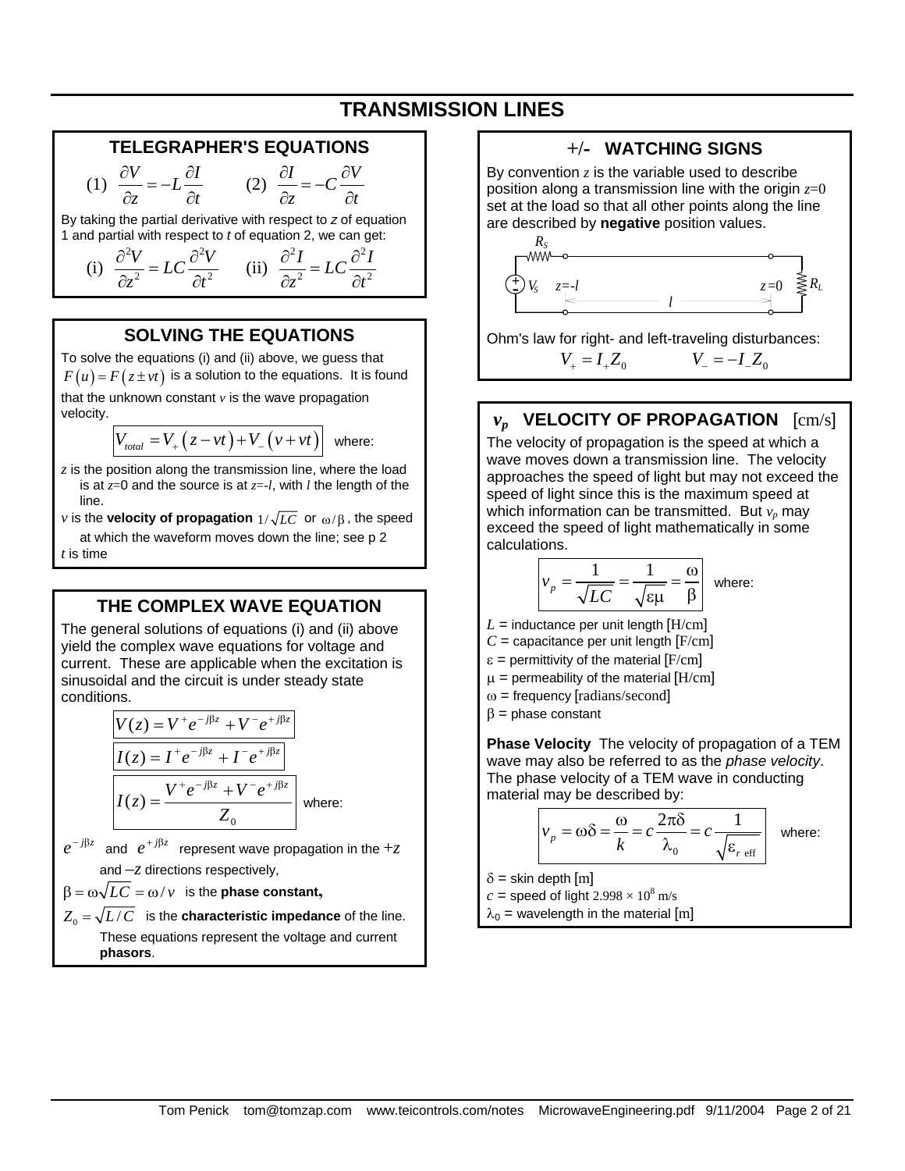# **TRANSMISSION LINES**

#### **TELEGRAPHER'S EQUATIONS**

$$
(1) \frac{\partial V}{\partial z} = -L \frac{\partial I}{\partial t} \qquad (2) \frac{\partial I}{\partial z} = -C \frac{\partial V}{\partial t}
$$

By taking the partial derivative with respect to *z* of equation 1 and partial with respect to *t* of equation 2, we can get:

(i) 
$$
\frac{\partial^2 V}{\partial z^2} = LC \frac{\partial^2 V}{\partial t^2}
$$
 (ii)  $\frac{\partial^2 I}{\partial z^2} = LC \frac{\partial^2 I}{\partial t^2}$ 

#### **SOLVING THE EQUATIONS**

To solve the equations (i) and (ii) above, we guess that  $F(u) = F(z \pm vt)$  is a solution to the equations. It is found that the unknown constant  $\nu$  is the wave propagation velocity.

 $V_{total} = V_{+} (z - vt) + V_{-} (v + vt)$  where:

*z* is the position along the transmission line, where the load is at *z*=0 and the source is at *z*=-*l*, with *l* the length of the line.

*v* is the **velocity of propagation**  $1/\sqrt{LC}$  or  $\omega/\beta$ , the speed at which the waveform moves down the line; see p 2 *t* is time

### **THE COMPLEX WAVE EQUATION**

The general solutions of equations (i) and (ii) above yield the complex wave equations for voltage and current. These are applicable when the excitation is sinusoidal and the circuit is under steady state conditions.

$$
V(z) = V^+ e^{-j\beta z} + V^- e^{+j\beta z}
$$

$$
I(z) = I^+ e^{-j\beta z} + I^- e^{+j\beta z}
$$

$$
I(z) = \frac{V^+ e^{-j\beta z} + V^- e^{+j\beta z}}{Z_0}
$$
 where:

 $e^{-j\beta z}$  and  $e^{+j\beta z}$  represent wave propagation in the +*z* and –*z* directions respectively,

 $\beta = \omega \sqrt{LC} = \omega / \nu$  is the **phase constant**,

 $Z_0 = \sqrt{L/C}$  is the **characteristic impedance** of the line. These equations represent the voltage and current **phasors**.

#### **+/- WATCHING SIGNS**  By convention *z* is the variable used to describe position along a transmission line with the origin *z*=0 set at the load so that all other points along the line are described by **negative** position values. キテ + *RS VS*  $z=0 \leq R_L$

Ohm's law for right- and left-traveling disturbances:  $V_+ = I_+ Z_0$   $V_- = -I Z_0$ 

*l*

# *vp* **VELOCITY OF PROPAGATION** [cm/s]

The velocity of propagation is the speed at which a wave moves down a transmission line. The velocity approaches the speed of light but may not exceed the speed of light since this is the maximum speed at which information can be transmitted. But  $v_p$  may exceed the speed of light mathematically in some calculations.

$$
v_p = \frac{1}{\sqrt{LC}} = \frac{1}{\sqrt{\epsilon \mu}} = \frac{\omega}{\beta}
$$
 where:

- $L =$  inductance per unit length  $[H/cm]$
- $C =$  capacitance per unit length  $[F/cm]$
- $\varepsilon$  = permittivity of the material  $[F/cm]$
- $\mu$  = permeability of the material [H/cm]
- $\omega$  = frequency [radians/second]
- $β = phase constant$

**Phase Velocity** The velocity of propagation of a TEM wave may also be referred to as the *phase velocity*. The phase velocity of a TEM wave in conducting material may be described by:

$$
v_p = \omega \delta = \frac{\omega}{k} = c \frac{2\pi \delta}{\lambda_0} = c \frac{1}{\sqrt{\varepsilon_r \text{ eff}}}
$$
 where:

 $\delta$  = skin depth [m]

 $c =$  speed of light 2.998  $\times$  10<sup>8</sup> m/s

 $\lambda_0$  = wavelength in the material [m]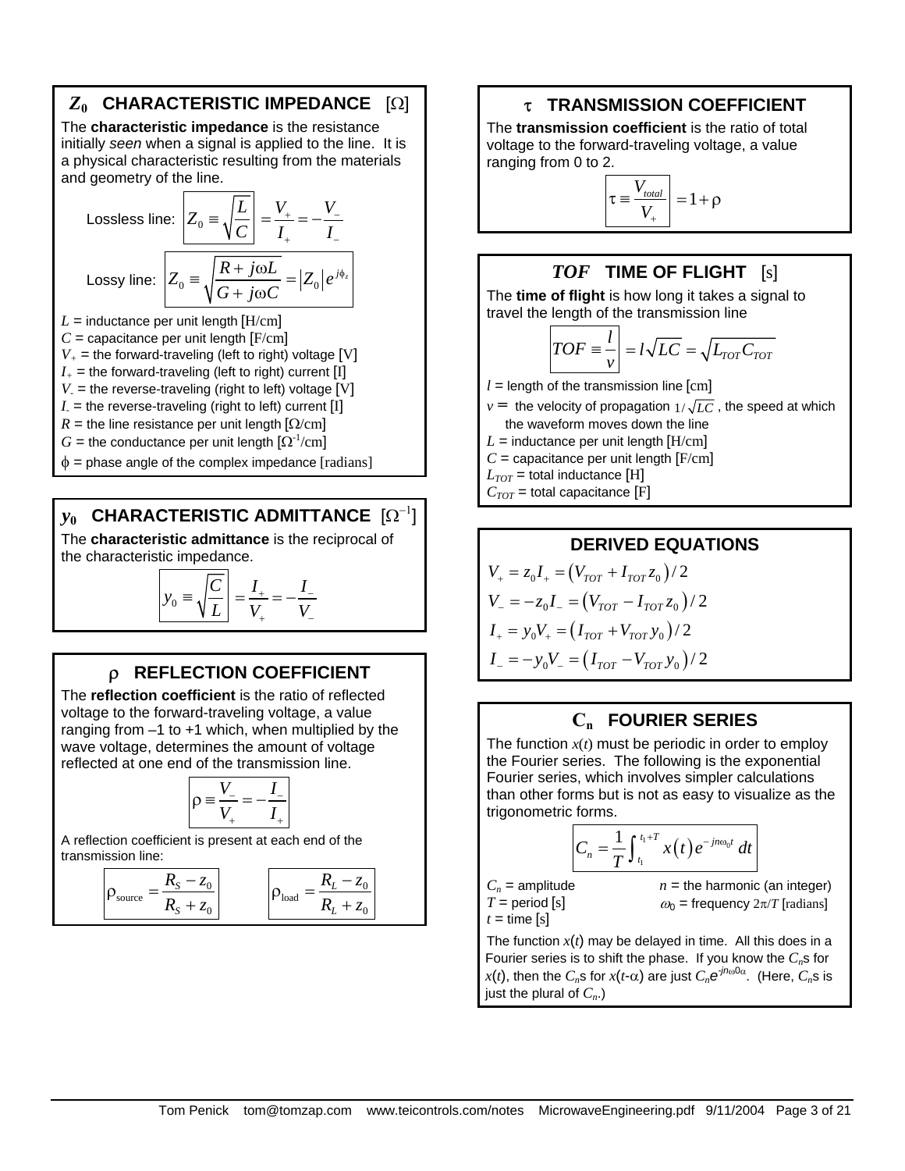# *Z***0 CHARACTERISTIC IMPEDANCE** [Ω]

The **characteristic impedance** is the resistance initially *seen* when a signal is applied to the line. It is a physical characteristic resulting from the materials and geometry of the line.

Lossless line: 
$$
Z_0 = \sqrt{\frac{L}{C}} = \frac{V_+}{I_+} = -\frac{V_-}{I_-}
$$
  
Lossy line: 
$$
Z_0 = \sqrt{\frac{R + j\omega L}{G + j\omega C}} = |Z_0|e^{j\phi_z}
$$
  

$$
L = \text{inductance per unit length [H/cm]}
$$

 $C =$  capacitance per unit length  $[F/cm]$  $V_+$  = the forward-traveling (left to right) voltage [V]  $I_{+}$  = the forward-traveling (left to right) current [I]  $V =$  the reverse-traveling (right to left) voltage [V]  $I_{-}$  = the reverse-traveling (right to left) current [I] *R* = the line resistance per unit length  $\Omega$ /cm] *G* = the conductance per unit length  $\left[\Omega^{-1}/\text{cm}\right]$  $\phi$  = phase angle of the complex impedance [radians]

# *y***0 CHARACTERISTIC ADMITTANCE** [Ω−1]

The **characteristic admittance** is the reciprocal of the characteristic impedance.

$$
y_0 \equiv \sqrt{\frac{C}{L}} = \frac{I_+}{V_+} = -\frac{I_-}{V_-}
$$

### ρ **REFLECTION COEFFICIENT**

The **reflection coefficient** is the ratio of reflected voltage to the forward-traveling voltage, a value ranging from  $-1$  to  $+1$  which, when multiplied by the wave voltage, determines the amount of voltage reflected at one end of the transmission line.

$$
\rho \equiv \frac{V_-}{V_+} = -\frac{I_-}{I_+}
$$

A reflection coefficient is present at each end of the transmission line:

$$
\rho_{\text{source}} = \frac{R_{\text{S}} - z_0}{R_{\text{S}} + z_0} \qquad \qquad \rho_{\text{load}} = \frac{R_L - z_0}{R_L + z_0}
$$

#### τ **TRANSMISSION COEFFICIENT**

The **transmission coefficient** is the ratio of total voltage to the forward-traveling voltage, a value ranging from 0 to 2.

$$
\boxed{\tau \equiv \frac{V_{total}}{V_{+}}} = 1 + \rho
$$

#### *TOF* **TIME OF FLIGHT** [s]

The **time of flight** is how long it takes a signal to travel the length of the transmission line

$$
TOF \equiv \frac{l}{v} = l\sqrt{LC} = \sqrt{L_{TOT}C_{TOT}}
$$

 $l =$  length of the transmission line  $\lceil$ cm  $\rceil$ 

 $v =$  the velocity of propagation  $1/\sqrt{LC}$ , the speed at which the waveform moves down the line

 $L =$  inductance per unit length  $[H/cm]$ 

 $C =$  capacitance per unit length  $[F/cm]$ 

 $L_{TOT}$  = total inductance [H]

 $C_{TOT}$  = total capacitance [F]

**DERIVED EQUATIONS**  
\n
$$
V_{+} = z_{0}I_{+} = (V_{TOT} + I_{TOT}z_{0})/2
$$
\n
$$
V_{-} = -z_{0}I_{-} = (V_{TOT} - I_{TOT}z_{0})/2
$$
\n
$$
I_{+} = y_{0}V_{+} = (I_{TOT} + V_{TOT}y_{0})/2
$$
\n
$$
I_{-} = -y_{0}V_{-} = (I_{TOT} - V_{TOT}y_{0})/2
$$

### **Cn FOURIER SERIES**

The function  $x(t)$  must be periodic in order to employ the Fourier series. The following is the exponential Fourier series, which involves simpler calculations than other forms but is not as easy to visualize as the trigonometric forms.

$$
C_n=\frac{1}{T}\int_{t_1}^{t_1+T}x(t)\,e^{-jn\omega_0t}\,dt
$$

 $C_n$  = amplitude  $T =$  period  $[s]$  $t =$  time  $[s]$ 

 $n =$  the harmonic (an integer)  $\omega_0$  = frequency  $2\pi/T$  [radians]

The function  $x(t)$  may be delayed in time. All this does in a Fourier series is to shift the phase. If you know the  $C_n$ s for *x*(*t*), then the  $C_n$ s for *x*(*t*-α) are just  $C_n e^{jn\omega 0\alpha}$ . (Here,  $C_n$ s is just the plural of  $C_n$ .)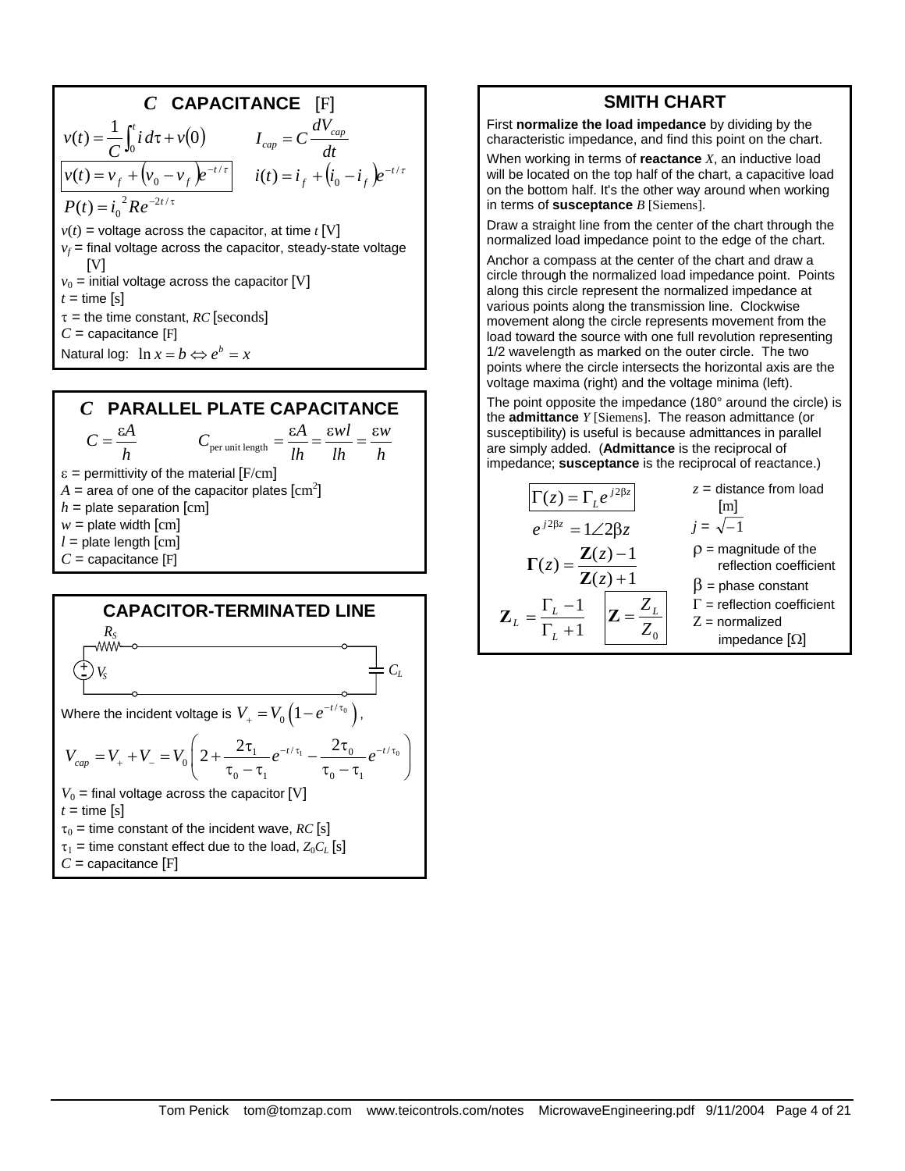**C CAPACITANCE** [F]  
\n
$$
v(t) = \frac{1}{C} \int_0^t i \, d\tau + v(0) \qquad I_{cap} = C \frac{dV_{cap}}{dt}
$$
\n
$$
v(t) = v_f + (v_0 - v_f)e^{-t/\tau} \qquad i(t) = i_f + (i_0 - i_f)e^{-t/\tau}
$$
\n
$$
P(t) = i_0^{-2}Re^{-2t/\tau}
$$
\n
$$
v(t) = \text{voltage across the capacitor, at time } t
$$
 [V]  
\n
$$
v_f = \text{final voltage across the capacitor, steady-state voltage}
$$
\n[V]  
\n
$$
v_0 = \text{initial voltage across the capacitor [V]}
$$
\n
$$
t = \text{time [s]}
$$
\n
$$
\tau = \text{the time constant, RC [seconds]}
$$
\n
$$
C = \text{capacitance [F]}
$$
\n
$$
\text{Natural log: } \ln x = b \Leftrightarrow e^b = x
$$





#### **SMITH CHART** First **normalize the load impedance** by dividing by the characteristic impedance, and find this point on the chart.

When working in terms of **reactance** *X*, an inductive load will be located on the top half of the chart, a capacitive load on the bottom half. It's the other way around when working in terms of **susceptance** *B* [Siemens].

Draw a straight line from the center of the chart through the normalized load impedance point to the edge of the chart.

Anchor a compass at the center of the chart and draw a circle through the normalized load impedance point. Points along this circle represent the normalized impedance at various points along the transmission line. Clockwise movement along the circle represents movement from the load toward the source with one full revolution representing 1/2 wavelength as marked on the outer circle. The two points where the circle intersects the horizontal axis are the voltage maxima (right) and the voltage minima (left).

The point opposite the impedance (180° around the circle) is the **admittance** *Y* [Siemens]. The reason admittance (or susceptibility) is useful is because admittances in parallel are simply added. (**Admittance** is the reciprocal of impedance; **susceptance** is the reciprocal of reactance.)

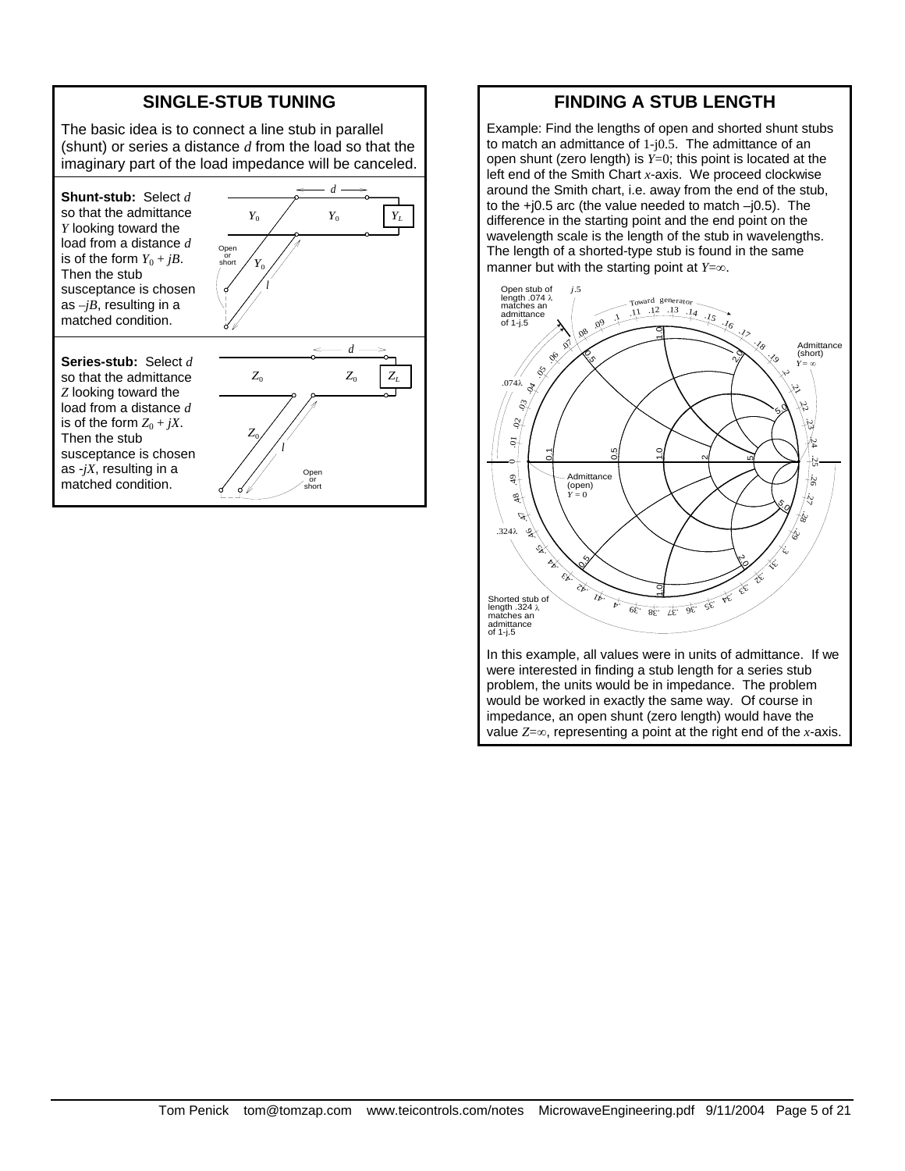#### **SINGLE-STUB TUNING**

The basic idea is to connect a line stub in parallel (shunt) or series a distance *d* from the load so that the imaginary part of the load impedance will be canceled.

**Shunt-stub:** Select *d* so that the admittance *Y* looking toward the load from a distance *d* is of the form  $Y_0 + jB$ . Then the stub susceptance is chosen as  $-jB$ , resulting in a matched condition.

**Series-stub:** Select *d* so that the admittance *Z* looking toward the load from a distance *d* is of the form  $Z_0 + jX$ . Then the stub susceptance is chosen as -*jX*, resulting in a matched condition.



Ope or short

#### **FINDING A STUB LENGTH**

Example: Find the lengths of open and shorted shunt stubs to match an admittance of 1-j0.5. The admittance of an open shunt (zero length) is *Y*=0; this point is located at the left end of the Smith Chart *x*-axis. We proceed clockwise around the Smith chart, i.e. away from the end of the stub, to the +j0.5 arc (the value needed to match –j0.5). The difference in the starting point and the end point on the wavelength scale is the length of the stub in wavelengths. The length of a shorted-type stub is found in the same manner but with the starting point at *Y*=∞.



In this example, all values were in units of admittance. If we were interested in finding a stub length for a series stub problem, the units would be in impedance. The problem would be worked in exactly the same way. Of course in impedance, an open shunt (zero length) would have the value *Z*=∞, representing a point at the right end of the *x*-axis.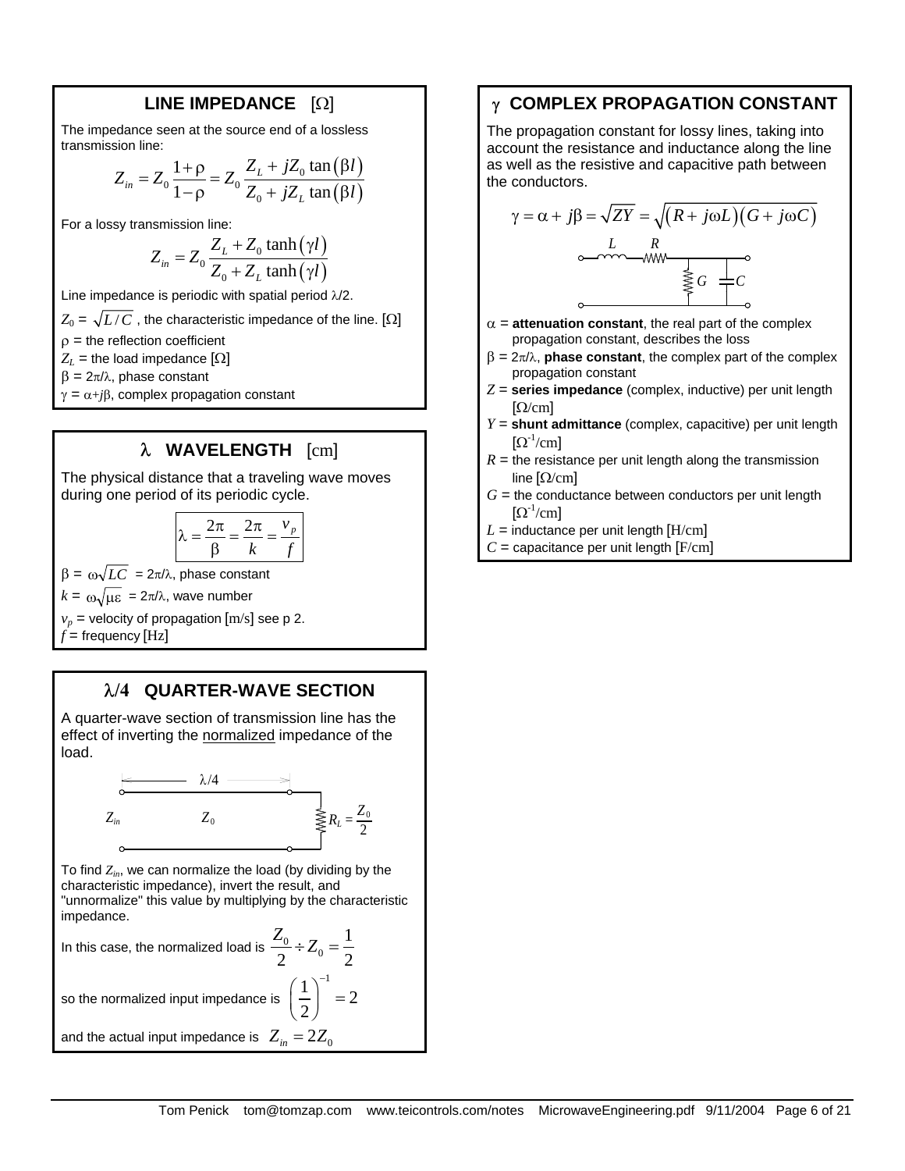#### **LINE IMPEDANCE** [Ω]

The impedance seen at the source end of a lossless transmission line:

$$
Z_{in} = Z_0 \frac{1+\rho}{1-\rho} = Z_0 \frac{Z_L + jZ_0 \tan(\beta l)}{Z_0 + jZ_L \tan(\beta l)}
$$

For a lossy transmission line:

$$
Z_{in} = Z_0 \frac{Z_L + Z_0 \tanh(\gamma l)}{Z_0 + Z_L \tanh(\gamma l)}
$$

Line impedance is periodic with spatial period λ/2.

 $Z_0 = \sqrt{L/C}$ , the characteristic impedance of the line. [ $\Omega$ ]

 $\rho$  = the reflection coefficient

 $Z_L$  = the load impedance  $[\Omega]$ 

 $β = 2π/λ$ , phase constant

 $\gamma = \alpha + i\beta$ , complex propagation constant

#### λ **WAVELENGTH** [cm]

The physical distance that a traveling wave moves during one period of its periodic cycle.

$$
\lambda = \frac{2\pi}{\beta} = \frac{2\pi}{k} = \frac{v_p}{f}
$$

 $β = ω\sqrt{LC}$  = 2π/λ, phase constant

 $k = \omega \sqrt{\mu \varepsilon} = 2\pi/\lambda$ , wave number

 $v_p$  = velocity of propagation  $[m/s]$  see p 2.

 $f$  = frequency  $[Hz]$ 

#### λ**/4 QUARTER-WAVE SECTION**

A quarter-wave section of transmission line has the effect of inverting the normalized impedance of the load.



To find  $Z_{in}$ , we can normalize the load (by dividing by the characteristic impedance), invert the result, and "unnormalize" this value by multiplying by the characteristic impedance.

In this case, the normalized load is  $\frac{Z_0}{2} \div Z_0$ 1 2  $^{-0}$  2  $\frac{Z_0}{Z}$  ÷  $Z_0$  =  $\left(\frac{1}{2}\right)^{-1} = 2$  $\left(\frac{1}{2}\right)^{-1}$  =

so the normalized input impedance is 2

and the actual input impedance is  $Z_{in} = 2Z_0$ 

#### γ **COMPLEX PROPAGATION CONSTANT**

The propagation constant for lossy lines, taking into account the resistance and inductance along the line as well as the resistive and capacitive path between the conductors.

$$
\gamma = \alpha + j\beta = \sqrt{ZY} = \sqrt{(R + j\omega L)(G + j\omega C)}
$$
\n
$$
\begin{array}{ccc}\nL & R & \searrow \\
\hline\n\searrow & \searrow & \searrow \\
\hline\n\searrow & \searrow & C\n\end{array}
$$

- $\alpha$  = **attenuation constant**, the real part of the complex propagation constant, describes the loss
- $β = 2π/λ$ , **phase constant**, the complex part of the complex propagation constant
- *Z* = **series impedance** (complex, inductive) per unit length  $\lceil \Omega/cm \rceil$
- *Y* = **shunt admittance** (complex, capacitive) per unit length  $[\Omega^{-1}/\text{cm}]$
- $R =$  the resistance per unit length along the transmission line  $\left[\Omega/cm\right]$
- $G =$  the conductance between conductors per unit length  $[\Omega^{-1}/\text{cm}]$
- $L =$  inductance per unit length  $[H/cm]$
- $C =$  capacitance per unit length  $[F/cm]$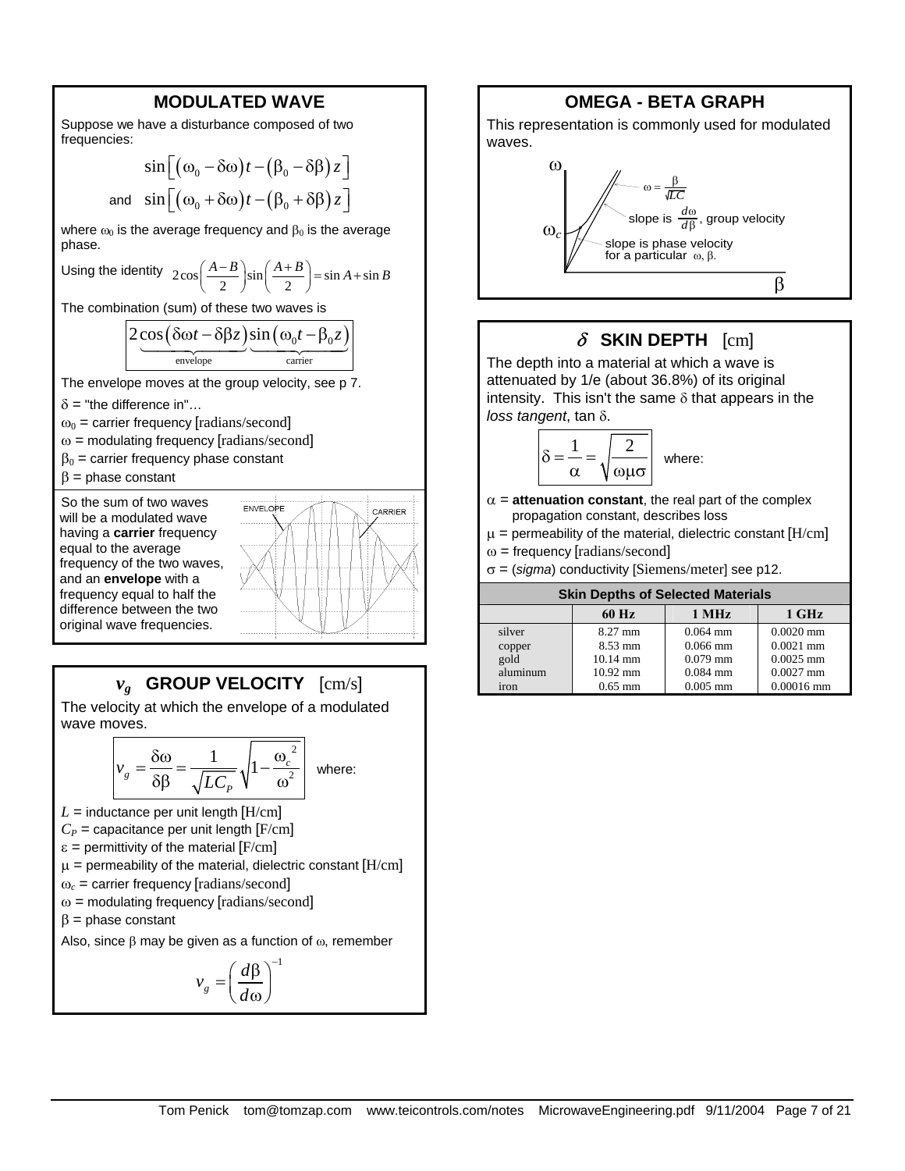#### **MODULATED WAVE**

Suppose we have a disturbance composed of two frequencies:

$$
\sin\left[\left(\omega_0 - \delta\omega\right)t - \left(\beta_0 - \delta\beta\right)z\right]
$$
  
and 
$$
\sin\left[\left(\omega_0 + \delta\omega\right)t - \left(\beta_0 + \delta\beta\right)z\right]
$$

where  $\omega_0$  is the average frequency and  $\beta_0$  is the average phase.

Using the identity 
$$
2\cos\left(\frac{A-B}{2}\right)\sin\left(\frac{A+B}{2}\right) = \sin A + \sin B
$$

The combination (sum) of these two waves is

$$
\frac{2 \cos(\delta \omega t - \delta \beta z)}{\text{envelope}} \underbrace{\sin(\omega_0 t - \beta_0 z)}_{\text{carrier}}
$$

The envelope moves at the group velocity, see p 7.

- $\delta$  = "the difference in"...
- $\omega_0$  = carrier frequency [radians/second]
- $\omega$  = modulating frequency [radians/second]
- $\beta_0$  = carrier frequency phase constant
- $β = phase constant$

So the sum of two waves will be a modulated wave having a **carrier** frequency equal to the average frequency of the two waves, and an **envelope** with a frequency equal to half the difference between the two original wave frequencies.



# *vg* **GROUP VELOCITY** [cm/s]

The velocity at which the envelope of a modulated wave moves.

$$
v_g = \frac{\delta \omega}{\delta \beta} = \frac{1}{\sqrt{LC_P}} \sqrt{1 - \frac{{\omega_c}^2}{\omega^2}} \quad \text{where:}
$$

 $L =$  inductance per unit length  $[H/cm]$ 

 $C_P$  = capacitance per unit length  $[F/cm]$ 

 $\varepsilon$  = permittivity of the material [F/cm]

 $\mu$  = permeability of the material, dielectric constant [H/cm]

 $\omega_c$  = carrier frequency [radians/second]

 $\omega$  = modulating frequency [radians/second]

 $β = phase constant$ 

Also, since  $\beta$  may be given as a function of  $\omega$ , remember

$$
v_g = \left(\frac{d\beta}{d\omega}\right)^{-1}
$$



# δ **SKIN DEPTH** [cm]

The depth into a material at which a wave is attenuated by 1/e (about 36.8%) of its original intensity. This isn't the same  $\delta$  that appears in the *loss tangent*, tan δ.

$$
\delta = \frac{1}{\alpha} = \sqrt{\frac{2}{\omega \mu \sigma}}
$$
 where:

- $\alpha$  = **attenuation constant**, the real part of the complex propagation constant, describes loss
- $\mu$  = permeability of the material, dielectric constant [H/cm]
- $\omega$  = frequency [radians/second]
- σ = (*sigma*) conductivity [Siemens/meter] see p12.

| <b>Skin Depths of Selected Materials</b>     |                                                                                 |                                                                    |                                                                          |  |
|----------------------------------------------|---------------------------------------------------------------------------------|--------------------------------------------------------------------|--------------------------------------------------------------------------|--|
|                                              | 60 Hz                                                                           | 1 MHz                                                              | 1 GHz                                                                    |  |
| silver<br>copper<br>gold<br>aluminum<br>iron | $8.27$ mm<br>$8.53 \text{ mm}$<br>$10.14 \text{ mm}$<br>$10.92$ mm<br>$0.65$ mm | $0.064$ mm<br>$0.066$ mm<br>$0.079$ mm<br>$0.084$ mm<br>$0.005$ mm | $0.0020$ mm<br>$0.0021$ mm<br>$0.0025$ mm<br>$0.0027$ mm<br>$0.00016$ mm |  |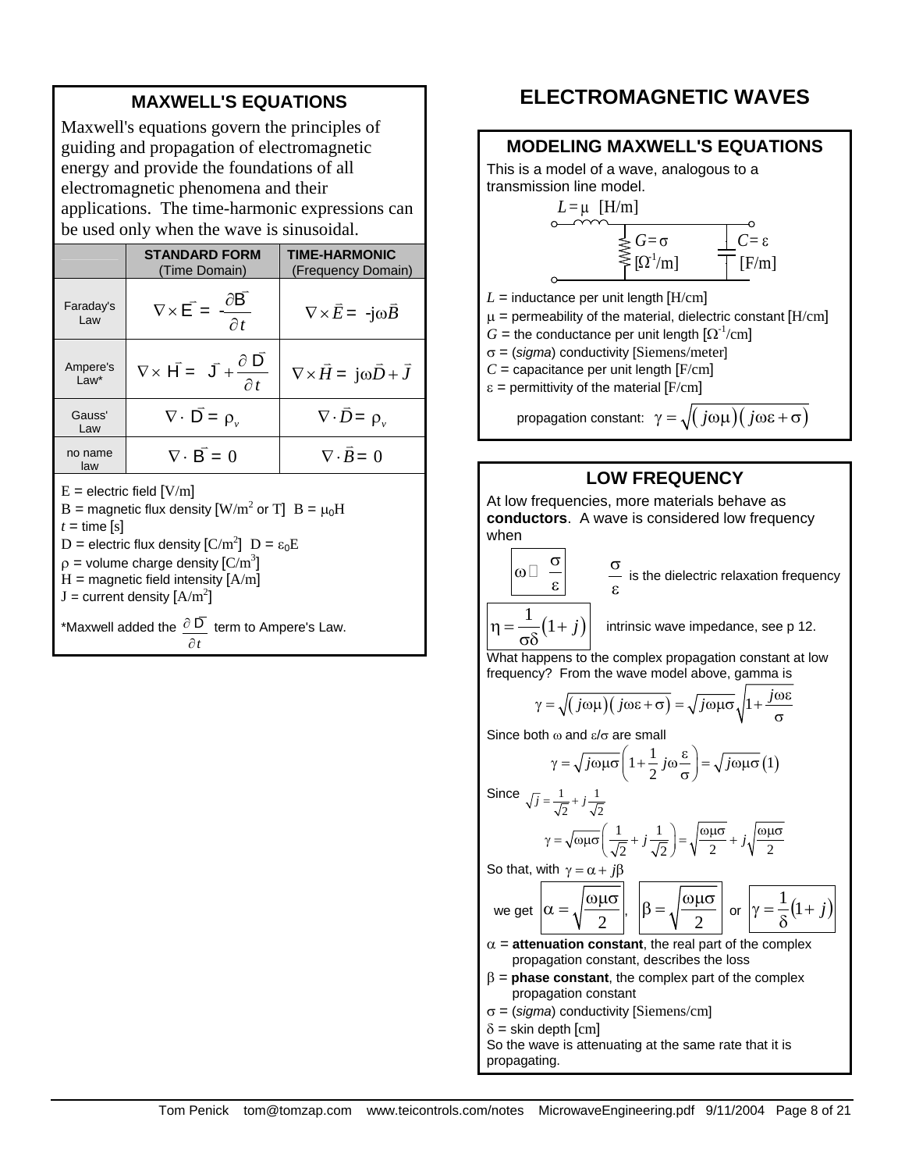#### **MAXWELL'S EQUATIONS**

Maxwell's equations govern the principles of guiding and propagation of electromagnetic energy and provide the foundations of all electromagnetic phenomena and their applications. The time-harmonic expressions can be used only when the wave is sinusoidal.

|                              | <b>STANDARD FORM</b><br>(Time Domain)                                   | <b>TIME-HARMONIC</b><br>(Frequency Domain)          |  |  |
|------------------------------|-------------------------------------------------------------------------|-----------------------------------------------------|--|--|
| Faraday's<br>Law             | $\nabla \times \vec{E} = \frac{\partial \vec{B}}{\partial t}$           | $\nabla \times \vec{E} = -j\omega \vec{B}$          |  |  |
| Ampere's<br>$Law*$           | $\nabla \times \vec{H} = \vec{J} + \frac{\partial \vec{D}}{\partial t}$ | $\nabla \times \vec{H} = j\omega \vec{D} + \vec{J}$ |  |  |
| Gauss'<br>Law                | $\nabla \cdot \vec{D} = \rho_v$                                         | $\nabla \cdot \overline{D} = \rho_{v}$              |  |  |
| no name<br>law               | $\nabla \cdot \vec{B} = 0$                                              | $\nabla \cdot \vec{B} = 0$                          |  |  |
| $F =$ electric field $[V/m]$ |                                                                         |                                                     |  |  |

 $E =$  electric field  $[V/m]$ 

B = magnetic flux density [W/m<sup>2</sup> or T] B = 
$$
\mu_0
$$
H  
\nt = time [s]  
\nD = electric flux density [C/m<sup>2</sup>] D =  $\varepsilon_0$ E  
\n $\rho$  = volume charge density [C/m<sup>3</sup>]

 $H =$  magnetic field intensity  $[A/m]$ 

 $J =$  current density  $[A/m^2]$ 

\*Maxwell added the  $\frac{\partial \overline{D}}{\partial t}$  term to Ampere's Law. *t* ∂

# **ELECTROMAGNETIC WAVES**



#### **LOW FREQUENCY**

At low frequencies, more materials behave as **conductors**. A wave is considered low frequency when

$$
\begin{array}{ccc}\n\alpha & \alpha & \alpha \\
\alpha & \beta & \alpha\n\end{array}
$$

is the dielectric relaxation frequency

 $\frac{1}{6}(1+j)$ intrinsic wave impedance, see p 12.

What happens to the complex propagation constant at low frequency? From the wave model above, gamma is

$$
\gamma = \sqrt{(j\omega\mu)(j\omega\varepsilon + \sigma)} = \sqrt{j\omega\mu\sigma}\sqrt{1 + \frac{j\omega\varepsilon}{\sigma}}
$$

Since both  $\omega$  and  $\varepsilon/\sigma$  are small

$$
\gamma = \sqrt{j\omega\mu\sigma} \left( 1 + \frac{1}{2} j\omega \frac{\varepsilon}{\sigma} \right) = \sqrt{j\omega\mu\sigma} (1)
$$
  
Since  $\sqrt{j} = \frac{1}{\sqrt{2}} + j\frac{1}{\sqrt{2}}$   
 $\gamma = \sqrt{\omega\mu\sigma} \left( \frac{1}{\sqrt{2}} + j\frac{1}{\sqrt{2}} \right) = \sqrt{\frac{\omega\mu\sigma}{2}} + j\sqrt{\frac{\omega\mu\sigma}{2}}$   
So that, with  $\gamma = \alpha + j\beta$ 

we get 
$$
\alpha = \sqrt{\frac{\omega \mu \sigma}{2}}
$$
,  $\beta = \sqrt{\frac{\omega \mu \sigma}{2}}$  or  $\gamma = \frac{1}{\delta}(1+j)$ 

- $\alpha$  = **attenuation constant**, the real part of the complex propagation constant, describes the loss
- $β =$ **phase constant**, the complex part of the complex propagation constant
- σ = (*sigma*) conductivity [Siemens/cm]

 $\delta$  = skin depth  $\lceil$ cm $\rceil$ 

So the wave is attenuating at the same rate that it is propagating.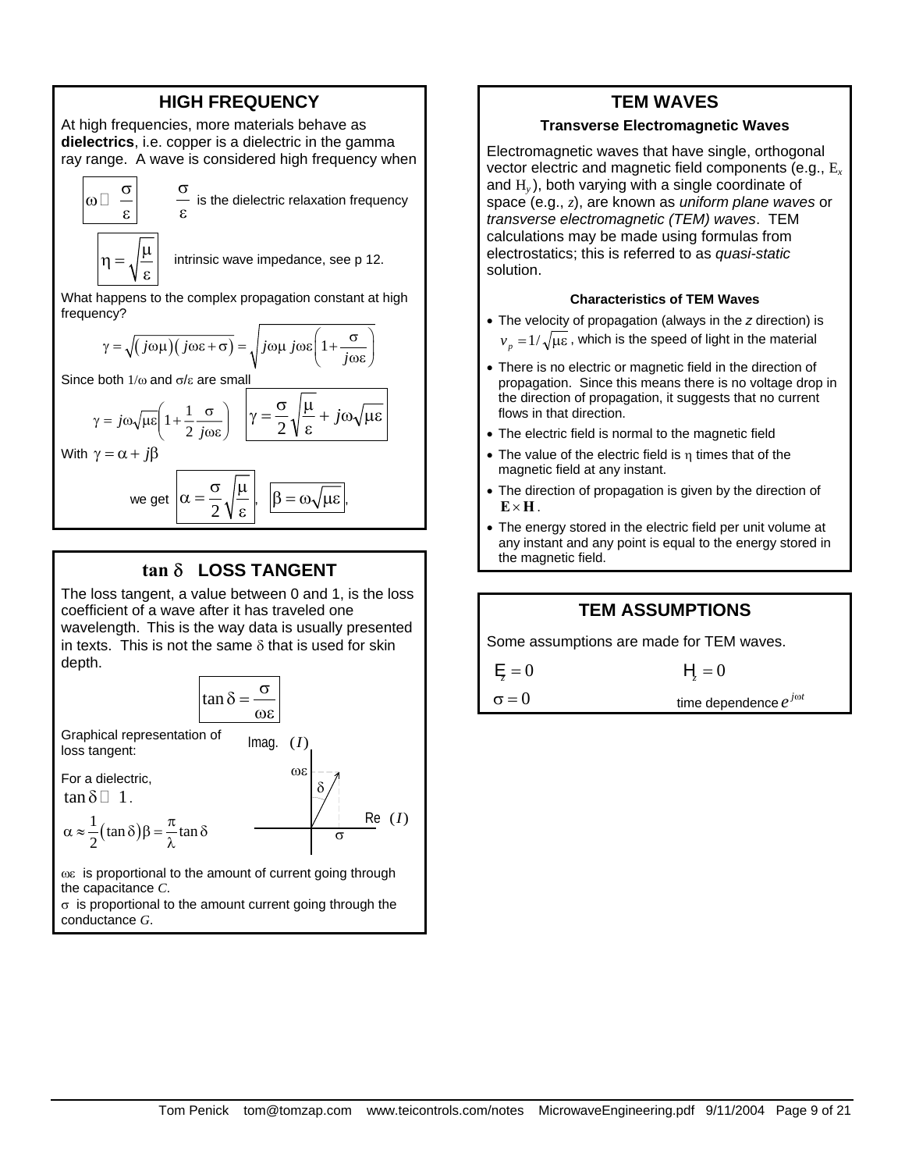#### **HIGH FREQUENCY**

At high frequencies, more materials behave as **dielectrics**, i.e. copper is a dielectric in the gamma ray range. A wave is considered high frequency when

$$
\begin{array}{c|c}\n\hline\n\varpi & \frac{\sigma}{\epsilon} & \frac{\sigma}{\epsilon} \\
\hline\n\eta = \sqrt{\frac{\mu}{\epsilon}} & \text{int}\n\end{array}
$$

ε is the dielectric relaxation frequency

intrinsic wave impedance, see p 12.

What happens to the complex propagation constant at high frequency?

$$
\gamma = \sqrt{\left(j\omega\mu\right)\left(j\omega\varepsilon + \sigma\right)} = \sqrt{j\omega\mu j\omega\varepsilon\left(1 + \frac{\sigma}{j\omega\varepsilon}\right)}
$$

Since both  $1/\omega$  and  $\sigma/\epsilon$  are small

$$
\gamma = j\omega \sqrt{\mu \epsilon} \left( 1 + \frac{1}{2} \frac{\sigma}{j \omega \epsilon} \right) \quad \sqrt{\gamma} = \frac{\sigma}{2} \sqrt{\frac{\mu}{\epsilon} + j\omega \sqrt{\mu \epsilon}}
$$

With  $\gamma = \alpha + j\beta$ 

we get 
$$
\alpha = \frac{\sigma}{2} \sqrt{\frac{\mu}{\epsilon}}, \quad \boxed{\beta = \omega \sqrt{\mu \epsilon}},
$$

#### **tan** δ **LOSS TANGENT**

The loss tangent, a value between 0 and 1, is the loss coefficient of a wave after it has traveled one wavelength. This is the way data is usually presented in texts. This is not the same  $\delta$  that is used for skin depth.



ωε is proportional to the amount of current going through the capacitance *C*.

 $\sigma$  is proportional to the amount current going through the conductance *G*.

#### **TEM WAVES**

#### **Transverse Electromagnetic Waves**

Electromagnetic waves that have single, orthogonal vector electric and magnetic field components (e.g., E*<sup>x</sup>* and H*y* ), both varying with a single coordinate of space (e.g., *z*), are known as *uniform plane waves* or *transverse electromagnetic (TEM) waves*. TEM calculations may be made using formulas from electrostatics; this is referred to as *quasi-static* solution.

#### **Characteristics of TEM Waves**

- The velocity of propagation (always in the *z* direction) is  $v_p = 1/\sqrt{\mu \varepsilon}$ , which is the speed of light in the material
- There is no electric or magnetic field in the direction of propagation. Since this means there is no voltage drop in the direction of propagation, it suggests that no current flows in that direction.
- The electric field is normal to the magnetic field
- The value of the electric field is  $\eta$  times that of the magnetic field at any instant.
- The direction of propagation is given by the direction of  $\mathbf{E} \times \mathbf{H}$ .
- The energy stored in the electric field per unit volume at any instant and any point is equal to the energy stored in the magnetic field.

#### **TEM ASSUMPTIONS**

Some assumptions are made for TEM waves.

$$
\vdash
$$

 $\sigma = 0$ 

 $E = 0$ 

time dependence  $e^{j\omega t}$ 

 $= 0$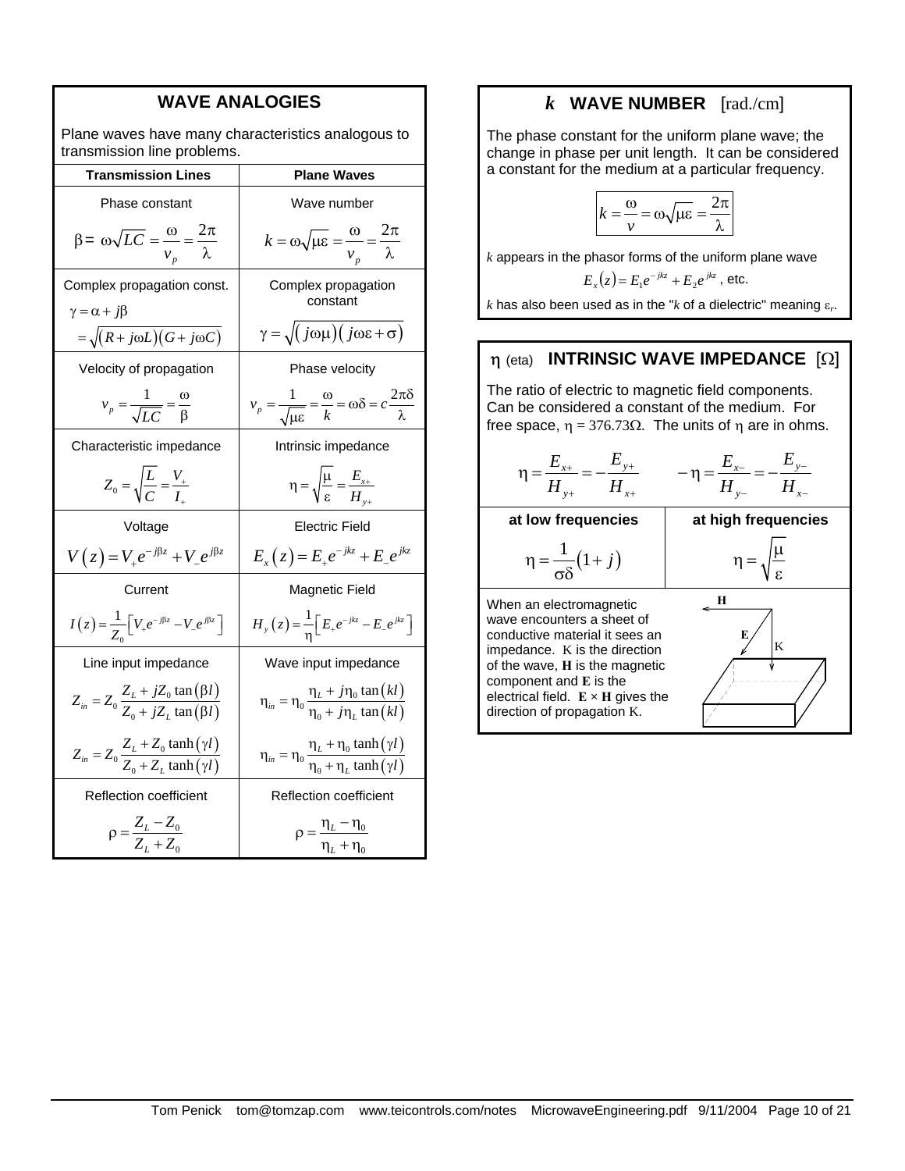| <b>WAVE ANALOGIES</b>                                                             |                                                                                                             |  |
|-----------------------------------------------------------------------------------|-------------------------------------------------------------------------------------------------------------|--|
| Plane waves have many characteristics analogous to<br>transmission line problems. |                                                                                                             |  |
| <b>Transmission Lines</b>                                                         | <b>Plane Waves</b>                                                                                          |  |
| Phase constant                                                                    | Wave number                                                                                                 |  |
| $\beta = \omega \sqrt{LC} = \frac{\omega}{v_{\text{n}}} = \frac{2\pi}{\lambda}$   | $k = \omega \sqrt{\mu \varepsilon} = \frac{\omega}{v_n} = \frac{2\pi}{\lambda}$                             |  |
| Complex propagation const.<br>$\gamma = \alpha + j\beta$                          | Complex propagation<br>constant                                                                             |  |
| $=\sqrt{(R+j\omega L)(G+j\omega C)}$                                              | $\gamma = \sqrt{j(\omega\mu)(j\omega\varepsilon + \sigma)}$                                                 |  |
| Velocity of propagation                                                           | Phase velocity                                                                                              |  |
| $v_p = \frac{1}{\sqrt{LC}} = \frac{\omega}{\beta}$                                | $v_p = \frac{1}{\sqrt{\mu \varepsilon}} = \frac{\omega}{k} = \omega \delta = c \frac{2\pi \delta}{\lambda}$ |  |
| Characteristic impedance                                                          | Intrinsic impedance                                                                                         |  |
| $Z_0 = \sqrt{\frac{L}{C}} = \frac{V_+}{I}$                                        | $\eta = \sqrt{\frac{\mu}{\varepsilon}} = \frac{E_{x+}}{H_{y+}}$                                             |  |
| Voltage                                                                           | Electric Field                                                                                              |  |
| $V(z) = V_{+}e^{-j\beta z} + V_{-}e^{j\beta z}$                                   | $E_x(z) = E_{+}e^{-jkz} + E_{-}e^{jkz}$                                                                     |  |
| Current                                                                           | Magnetic Field                                                                                              |  |
| $I(z) = \frac{1}{Z} \left[ V_+ e^{-j\beta z} - V_- e^{j\beta z} \right]$          | $H_{y}(z) = \frac{1}{n} \Big[ E_{+} e^{-jkz} - E_{-} e^{jkz} \Big]$                                         |  |
| Line input impedance                                                              | Wave input impedance                                                                                        |  |
| $Z_{in} = Z_0 \frac{Z_L + jZ_0 \tan(\beta l)}{Z_0 + jZ_L \tan(\beta l)}$          | $\eta_{in} = \eta_0 \frac{\eta_L + j\eta_0 \tan(kl)}{\eta_0 + j\eta_L \tan(kl)}$                            |  |
| $Z_{in} = Z_0 \frac{Z_L + Z_0 \tanh(\gamma l)}{Z_0 + Z_L \tanh(\gamma l)}$        | $\eta_{in} = \eta_0 \frac{\eta_L + \eta_0 \tanh(\gamma l)}{\eta_0 + \eta_L \tanh(\gamma l)}$                |  |
| Reflection coefficient                                                            | Reflection coefficient                                                                                      |  |
| $\rho = \frac{Z_L - Z_0}{Z_L + Z_0}$                                              | $\rho = \frac{\eta_L - \eta_0}{\eta_L + \eta_0}$                                                            |  |

#### *k* **WAVE NUMBER** [rad./cm]

The phase constant for the uniform plane wave; the change in phase per unit length. It can be considered a constant for the medium at a particular frequency.

$$
k = \frac{\omega}{\nu} = \omega \sqrt{\mu \varepsilon} = \frac{2\pi}{\lambda}
$$

*k* appears in the phasor forms of the uniform plane wave

$$
E_x(z) = E_1 e^{-jkz} + E_2 e^{jkz}
$$
, etc.

*k* has also been used as in the "*k* of a dielectric" meaning ε*r*.

#### η (eta) **INTRINSIC WAVE IMPEDANCE** [Ω]

The ratio of electric to magnetic field components. Can be considered a constant of the medium. For free space,  $η = 376.73Ω$ . The units of η are in ohms.

$$
\eta = \frac{E_{x+}}{H_{y+}} = -\frac{E_{y+}}{H_{x+}} \qquad -\eta = \frac{E_{x-}}{H_{y-}} = -\frac{E_{y-}}{H_{x-}}
$$

**at low frequencies** 

$$
\eta = \frac{1}{\sigma \delta} \big( 1 + j \big)
$$

**at high frequencies** 

| __ | u  |
|----|----|
|    | ε. |

**E**

**H**

K

When an electromagnetic wave encounters a sheet of conductive material it sees an impedance. K is the direction of the wave, **H** is the magnetic component and **E** is the electrical field. **E × H** gives the direction of propagation K.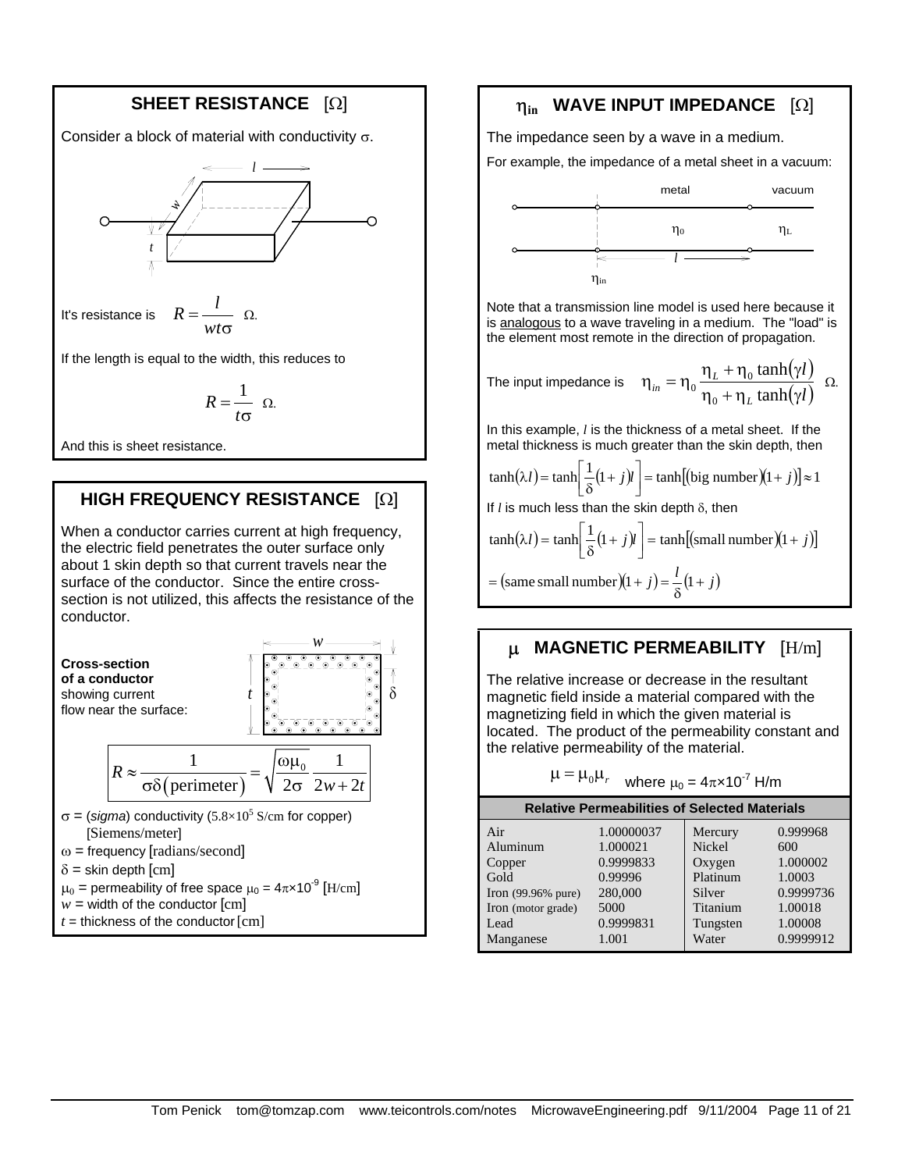# **SHEET RESISTANCE** [Ω]

Consider a block of material with conductivity  $\sigma$ .



It's resistance is  $R =$  $-\Omega$ .

If the length is equal to the width, this reduces to

$$
R=\frac{1}{t\sigma} \ \Omega.
$$

And this is sheet resistance.

#### **HIGH FREQUENCY RESISTANCE** [Ω]

When a conductor carries current at high frequency, the electric field penetrates the outer surface only about 1 skin depth so that current travels near the surface of the conductor. Since the entire crosssection is not utilized, this affects the resistance of the conductor.



- $\sigma$  = (*sigma*) conductivity (5.8×10<sup>5</sup> S/cm for copper) [Siemens/meter]
- $\omega$  = frequency [radians/second]
- $\delta$  = skin depth [cm]
- $\mu_0$  = permeability of free space  $\mu_0 = 4\pi \times 10^{-9}$  [H/cm]
- $w =$  width of the conductor  $[cm]$
- $t =$  thickness of the conductor  $[cm]$

# η**in WAVE INPUT IMPEDANCE** [Ω]

The impedance seen by a wave in a medium.

For example, the impedance of a metal sheet in a vacuum:



Note that a transmission line model is used here because it is analogous to a wave traveling in a medium. The "load" is the element most remote in the direction of propagation.

The input impedance is 
$$
\eta_{in} = \eta_0 \frac{\eta_L + \eta_0 \tanh(\gamma l)}{\eta_0 + \eta_L \tanh(\gamma l)}
$$
  $\Omega$ .

In this example, *l* is the thickness of a metal sheet. If the metal thickness is much greater than the skin depth, then

$$
\tanh(\lambda l) = \tanh\left[\frac{1}{\delta}(1+j)l\right] = \tanh\left[\text{(big number)}(1+j)\right] \approx 1
$$

If *l* is much less than the skin depth δ, then

$$
\tanh(\lambda l) = \tanh\left[\frac{1}{\delta}(1+j)l\right] = \tanh[(\text{small number})(1+j)]
$$

$$
= (\text{same small number})(1+j) = \frac{l}{\delta}(1+j)
$$

#### µ **MAGNETIC PERMEABILITY** [H/m]

The relative increase or decrease in the resultant magnetic field inside a material compared with the magnetizing field in which the given material is located. The product of the permeability constant and the relative permeability of the material.

| $\mu = \mu_0 \mu_r$                           | where $\mu_0 = 4\pi \times 10^{-7}$ H/m |          |           |
|-----------------------------------------------|-----------------------------------------|----------|-----------|
| Relative Permeabilities of Selected Materials |                                         |          |           |
| Air                                           | 1.00000037                              | Mercury  | 0.999968  |
| Aluminuum                                     | 1.000021                                | Nickel   | 600       |
| Copper                                        | 0.9999833                               | Oxygen   | 1.000002  |
| Irod                                          | 0.99996                                 | Platinum | 1.0003    |
| Iron (99.96% pure)                            | 280,000                                 | Silver   | 0.9999736 |
| Iron (motor grade)                            | 5000                                    | Titanium | 1.00018   |
| Lead                                          | 0.9999831                               | Tungsten | 1.00008   |
| Manganese                                     | 1.001                                   | Water    | 0.9999912 |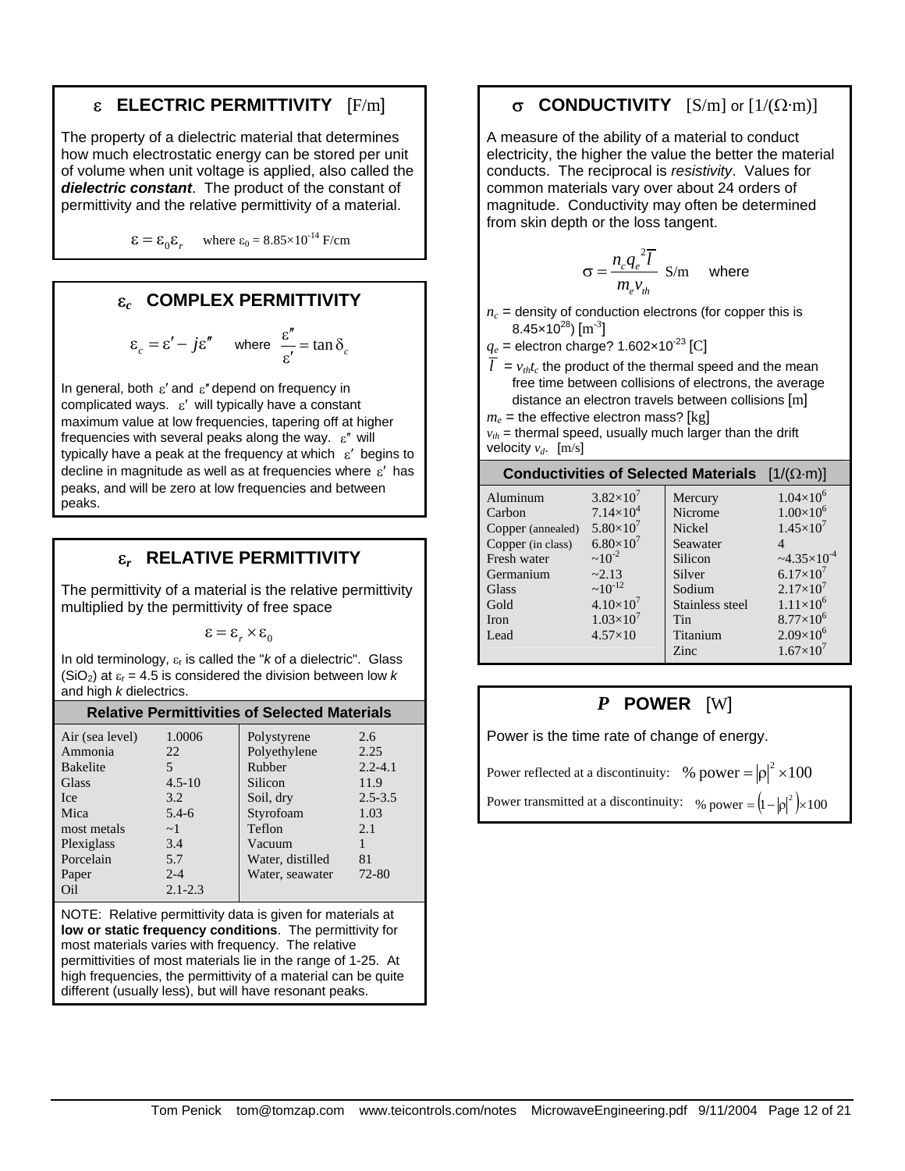### ε **ELECTRIC PERMITTIVITY** [F/m]

The property of a dielectric material that determines how much electrostatic energy can be stored per unit of volume when unit voltage is applied, also called the *dielectric constant*. The product of the constant of permittivity and the relative permittivity of a material.

 $\epsilon = \epsilon_0 \epsilon_r$  where  $\epsilon_0 = 8.85 \times 10^{-14}$  F/cm

### ε*c* **COMPLEX PERMITTIVITY**

$$
\varepsilon_c = \varepsilon' - j\varepsilon'' \quad \text{where } \frac{\varepsilon''}{\varepsilon'} = \tan \delta_c
$$

In general, both  $\varepsilon'$  and  $\varepsilon''$  depend on frequency in complicated ways.  $\varepsilon'$  will typically have a constant maximum value at low frequencies, tapering off at higher frequencies with several peaks along the way.  $\varepsilon^r$  will typically have a peak at the frequency at which  $\varepsilon'$  begins to decline in magnitude as well as at frequencies where  $\varepsilon'$  has peaks, and will be zero at low frequencies and between peaks.

#### ε*r* **RELATIVE PERMITTIVITY**

The permittivity of a material is the relative permittivity multiplied by the permittivity of free space

 $\epsilon = \epsilon_{r} \times \epsilon_{0}$ 

In old terminology,  $\varepsilon_r$  is called the " $k$  of a dielectric". Glass (SiO<sub>2</sub>) at  $\varepsilon_r$  = 4.5 is considered the division between low *k* and high *k* dielectrics.

| <b>Relative Permittivities of Selected Materials</b>                                                                            |                                                                                          |                                                                                                                                       |                                                                                 |  |
|---------------------------------------------------------------------------------------------------------------------------------|------------------------------------------------------------------------------------------|---------------------------------------------------------------------------------------------------------------------------------------|---------------------------------------------------------------------------------|--|
| Air (sea level)<br>Ammonia<br><b>Bakelite</b><br>Glass<br><b>Ice</b><br>Mica<br>most metals<br>Plexiglass<br>Porcelain<br>Paper | 1.0006<br>22<br>5<br>$4.5 - 10$<br>3.2<br>$5.4 - 6$<br>$\sim$ 1<br>3.4<br>5.7<br>$2 - 4$ | Polystyrene<br>Polyethylene<br>Rubber<br>Silicon<br>Soil, dry<br>Styrofoam<br>Teflon<br>Vacuum<br>Water, distilled<br>Water, seawater | 2.6<br>2.25<br>$2.2 - 4.1$<br>11.9<br>$2.5 - 3.5$<br>1.03<br>2.1<br>81<br>72-80 |  |
| Oil                                                                                                                             | $2.1 - 2.3$                                                                              |                                                                                                                                       |                                                                                 |  |

NOTE: Relative permittivity data is given for materials at **low or static frequency conditions**. The permittivity for most materials varies with frequency. The relative permittivities of most materials lie in the range of 1-25. At high frequencies, the permittivity of a material can be quite different (usually less), but will have resonant peaks.

## σ **CONDUCTIVITY** [S/m] or [1/(Ω·m)]

A measure of the ability of a material to conduct electricity, the higher the value the better the material conducts. The reciprocal is *resistivity*. Values for common materials vary over about 24 orders of magnitude. Conductivity may often be determined from skin depth or the loss tangent.

$$
\sigma = \frac{n_c q_e^2 \overline{l}}{m_e v_{th}} \text{ S/m} \text{ where}
$$

 $n_c$  = density of conduction electrons (for copper this is 8.45×10<sup>28</sup>) [m<sup>-3</sup>]

 $q_e$  = electron charge? 1.602×10<sup>-23</sup> [C]

- $\overline{l}$  =  $v_{th}t_c$  the product of the thermal speed and the mean free time between collisions of electrons, the average distance an electron travels between collisions [m]
- $m_e$  = the effective electron mass? [kg]  $v_{th}$  = thermal speed, usually much larger than the drift

| Conductivities of Selected Materials $[1/(\Omega \cdot m)]$ |                                                         |                               |  |  |
|-------------------------------------------------------------|---------------------------------------------------------|-------------------------------|--|--|
| $3.82\times10'$                                             | Mercury                                                 | $1.04\times10^{6}$            |  |  |
|                                                             |                                                         | $1.00\times10^{6}$            |  |  |
|                                                             | Nickel                                                  | $1.45\times10^{7}$            |  |  |
| $6.80\times10^{7}$                                          | Seawater                                                |                               |  |  |
| $\sim 10^{-2}$                                              | Silicon                                                 | $\approx 4.35 \times 10^{-4}$ |  |  |
| ~2.13                                                       | Silver                                                  | $6.17\times10^{7}$            |  |  |
|                                                             | Sodium                                                  | $2.17\times10^{7}$            |  |  |
| $4.10\times10^{7}$                                          | Stainless steel                                         | $1.11\times10^{6}$            |  |  |
| $1.03\times10^{7}$                                          | Tin                                                     | $8.77\times10^{6}$            |  |  |
| $4.57\times10$                                              | Titanium                                                | $2.09\times10^{6}$            |  |  |
|                                                             | Zinc                                                    | $1.67\times10^{7}$            |  |  |
|                                                             | $7.14\times10^{4}$<br>$5.80\times10^{7}$<br>$~10^{-12}$ | Nicrome                       |  |  |

### *P* **POWER** [W]

Power is the time rate of change of energy.

Power reflected at a discontinuity: % power =  $|\rho|^2 \times 100$ Power transmitted at a discontinuity:  $\%$  power =  $(1 - |\rho|^2) \times 100$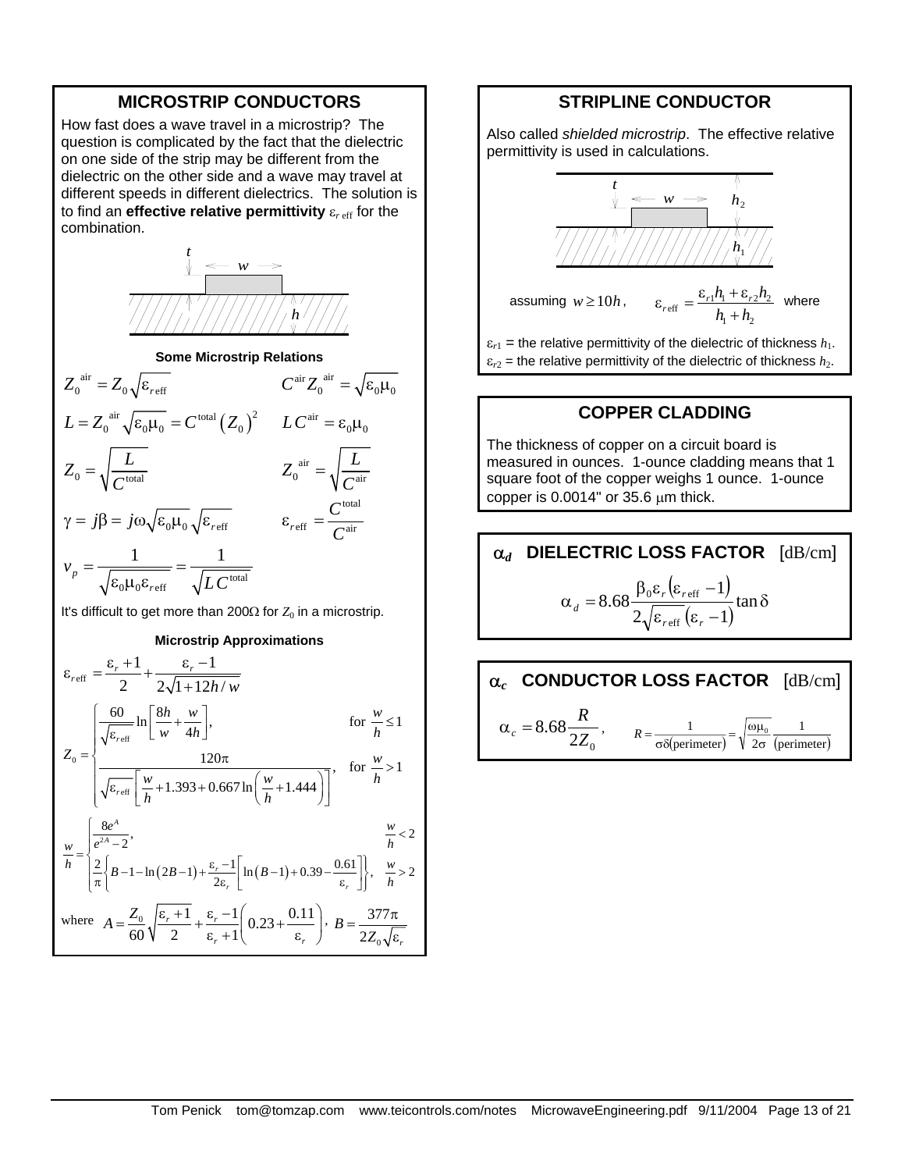#### **MICROSTRIP CONDUCTORS**

How fast does a wave travel in a microstrip? The question is complicated by the fact that the dielectric on one side of the strip may be different from the dielectric on the other side and a wave may travel at different speeds in different dielectrics. The solution is to find an **effective relative permittivity** ε*<sup>r</sup>* eff for the combination.



**Some Microstrip Relations** 

$$
Z_0^{\text{air}} = Z_0 \sqrt{\varepsilon_{\text{ref}}}
$$
\n
$$
C^{\text{air}} Z_0^{\text{air}} = \sqrt{\varepsilon_0 \mu_0}
$$
\n
$$
L = Z_0^{\text{air}} \sqrt{\varepsilon_0 \mu_0} = C^{\text{total}} (Z_0)^2
$$
\n
$$
L C^{\text{air}} = \varepsilon_0 \mu_0
$$
\n
$$
Z_0 = \sqrt{\frac{L}{C^{\text{total}}}}
$$
\n
$$
Z_0^{\text{air}} = \sqrt{\frac{L}{C^{\text{air}}}}
$$
\n
$$
\gamma = j\beta = j\omega \sqrt{\varepsilon_0 \mu_0} \sqrt{\varepsilon_{\text{ref}}}
$$
\n
$$
\varepsilon_{\text{ref}} = \frac{C^{\text{total}}}{C^{\text{air}}}
$$
\n
$$
\nu_p = \frac{1}{\sqrt{\varepsilon_0 \mu_0 \varepsilon_{\text{ref}}}} = \frac{1}{\sqrt{LC^{\text{total}}}}
$$

It's difficult to get more than 200Ω for  $Z_0$  in a microstrip.

#### **Microstrip Approximations**

$$
\varepsilon_{\text{ref}} = \frac{\varepsilon_r + 1}{2} + \frac{\varepsilon_r - 1}{2\sqrt{1 + 12h/w}}
$$
\n
$$
Z_0 = \begin{cases}\n\frac{60}{\sqrt{\varepsilon_{\text{refr}}}} \ln\left[\frac{8h}{w} + \frac{w}{4h}\right], & \text{for } \frac{w}{h} \le 1 \\
\frac{120\pi}{\sqrt{\varepsilon_{\text{refr}}}\left[\frac{w}{h} + 1.393 + 0.667 \ln\left(\frac{w}{h} + 1.444\right)\right]}, & \text{for } \frac{w}{h} > 1\n\end{cases}
$$
\n
$$
\frac{w}{h} = \begin{cases}\n\frac{8e^A}{e^{2A} - 2}, & \frac{w}{h} < 2 \\
\frac{2}{\pi} \left\{B - 1 - \ln(2B - 1) + \frac{\varepsilon_r - 1}{2\varepsilon_r} \ln(B - 1) + 0.39 - \frac{0.61}{\varepsilon_r}\right\}, & \frac{w}{h} > 2\n\end{cases}
$$
\nwhere  $A = \frac{Z_0}{60} \sqrt{\frac{\varepsilon_r + 1}{2} + \frac{\varepsilon_r - 1}{\varepsilon_r + 1}} \left(0.23 + \frac{0.11}{\varepsilon_r}\right), B = \frac{377\pi}{2Z_0\sqrt{\varepsilon_r}}$ 

#### **STRIPLINE CONDUCTOR**

Also called *shielded microstrip*. The effective relative permittivity is used in calculations.



#### **COPPER CLADDING**

The thickness of copper on a circuit board is measured in ounces. 1-ounce cladding means that 1 square foot of the copper weighs 1 ounce. 1-ounce copper is  $0.0014$ " or  $35.6 \mu m$  thick.

#### α*d* **DIELECTRIC LOSS FACTOR** [dB/cm]  $(\varepsilon_{reff} - 1)$  $\frac{\epsilon_r \left(\frac{S}{\epsilon_{\text{refl}}}-1\right)}{\epsilon_{\text{refl}}}$ tan  $\delta$  $\alpha_d = 8.68 \frac{\beta_0 \varepsilon_r (\varepsilon_{\text{reff}} - 1)}{\sqrt{2\pi \varepsilon_r^2 (\varepsilon_{\text{reff}} - 1)}} \tan$  $2\sqrt{\varepsilon_{reff}}(\varepsilon_r-1)$ 1 8.68 eff  $0$ <sup> $\mathbf{c}_r$ </sup> ( $\mathbf{c}_{r}$ <sub>eff</sub> *r r r r d*

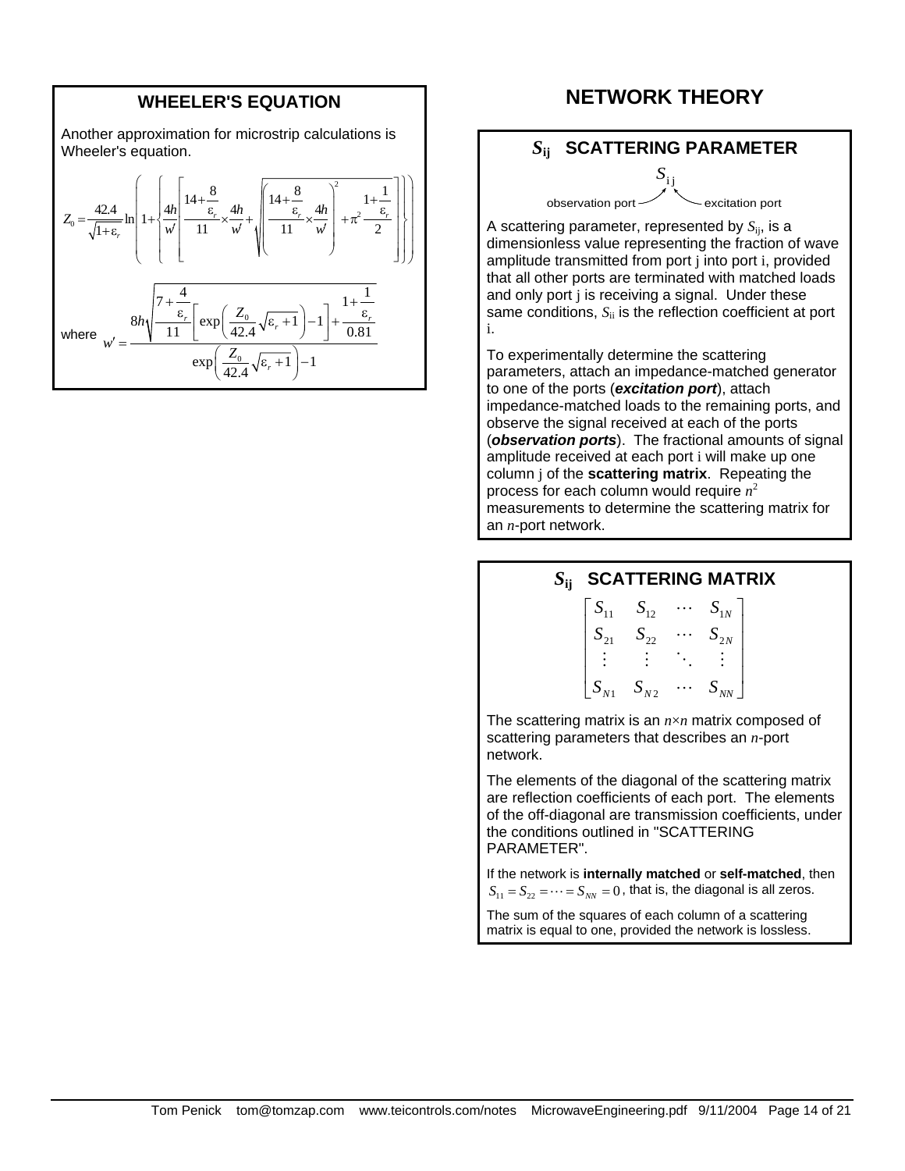#### **WHEELER'S EQUATION**

Another approximation for microstrip calculations is Wheeler's equation.

$$
Z_0 = \frac{42.4}{\sqrt{1+\epsilon_r}} \ln\left(1+\left\{\frac{4h}{w'}\left[\frac{14+\frac{8}{\epsilon_r}}{11}\times\frac{4h}{w'}+\sqrt{\frac{14+\frac{8}{\epsilon_r}}{11}\times\frac{4h}{w'}}\right]^2+\pi^2\frac{1+\frac{1}{\epsilon_r}}{2}\right\}\right)
$$
\nwhere 
$$
w' = \frac{8h\sqrt{\frac{7+\frac{4}{\epsilon_r}}{11}\left[\exp\left(\frac{Z_0}{42.4}\sqrt{\epsilon_r+1}\right)-1\right]+\frac{1}{0.81}}}{\exp\left(\frac{Z_0}{42.4}\sqrt{\epsilon_r+1}\right)-1}
$$

### **NETWORK THEORY**

#### *S***ij SCATTERING PARAMETER**

observation port vexcitation port  $S_{ij}$ 

A scattering parameter, represented by *S*ij, is a dimensionless value representing the fraction of wave amplitude transmitted from port j into port i, provided that all other ports are terminated with matched loads and only port j is receiving a signal. Under these same conditions,  $S_{ii}$  is the reflection coefficient at port i.

To experimentally determine the scattering parameters, attach an impedance-matched generator to one of the ports (*excitation port*), attach impedance-matched loads to the remaining ports, and observe the signal received at each of the ports (*observation ports*). The fractional amounts of signal amplitude received at each port i will make up one column j of the **scattering matrix**. Repeating the process for each column would require *n*<sup>2</sup> measurements to determine the scattering matrix for an *n*-port network.

#### *S***ij SCATTERING MATRIX**



The scattering matrix is an *n*×*n* matrix composed of scattering parameters that describes an *n*-port network.

The elements of the diagonal of the scattering matrix are reflection coefficients of each port. The elements of the off-diagonal are transmission coefficients, under the conditions outlined in "SCATTERING PARAMETER".

If the network is **internally matched** or **self-matched**, then  $S_{11} = S_{22} = \cdots = S_{NN} = 0$ , that is, the diagonal is all zeros.

The sum of the squares of each column of a scattering matrix is equal to one, provided the network is lossless.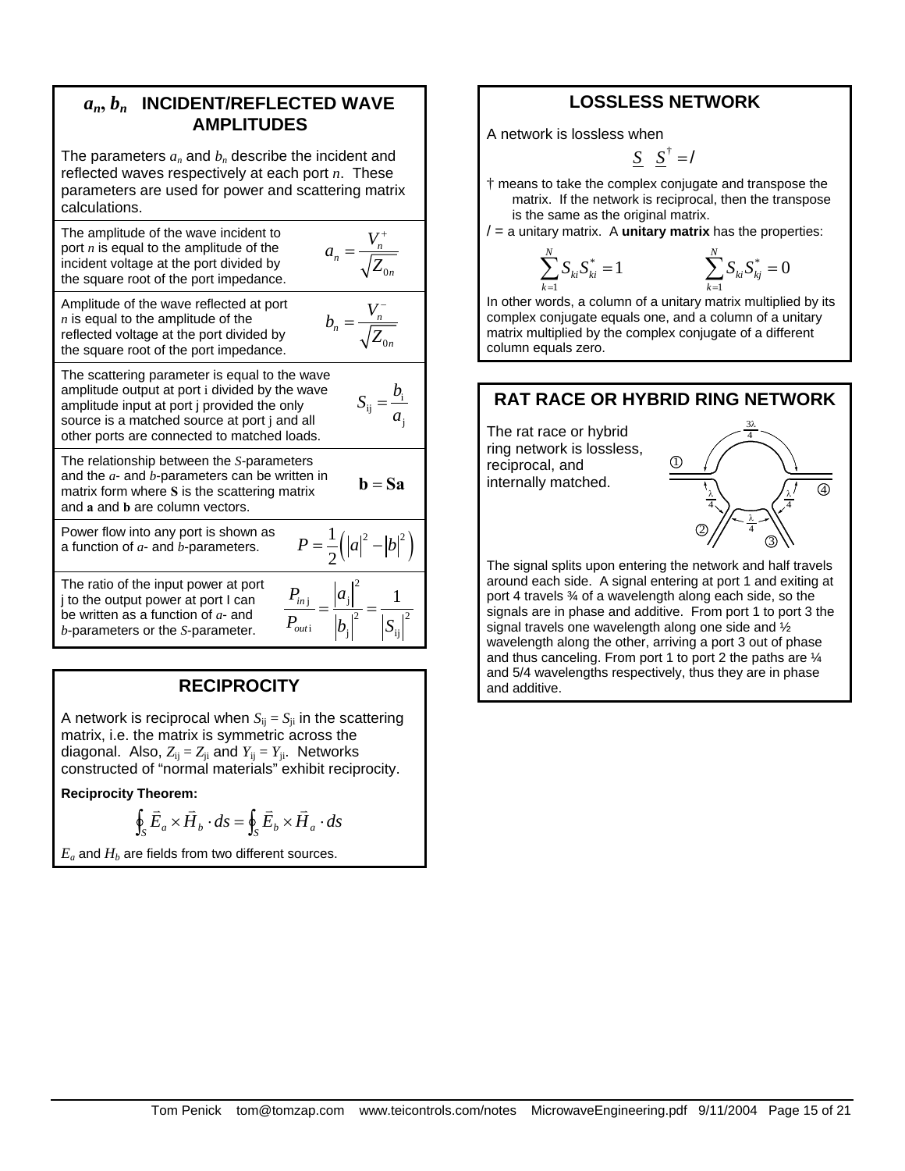### *an***,** *bn* **INCIDENT/REFLECTED WAVE AMPLITUDES**

The parameters  $a_n$  and  $b_n$  describe the incident and reflected waves respectively at each port *n*. These parameters are used for power and scattering matrix calculations.

The amplitude of the wave incident to port *n* is equal to the amplitude of the incident voltage at the port divided by the square root of the port impedance.

$$
a_n = \frac{V_n^+}{\sqrt{Z_{0n}}}
$$

Amplitude of the wave reflected at port *n* is equal to the amplitude of the reflected voltage at the port divided by the square root of the port impedance.

$$
b_n = \frac{V_n^-}{\sqrt{Z_{0n}}}
$$

j

 $\mathbf{b} = \mathbf{S}\mathbf{a}$ 

 $2^{-1}$   $1^{-12}$ 

 $P = \frac{1}{2}(|a|^2 - |b|)$ 

j  $\vert u_j \vert$ 

 $P_{\scriptscriptstyle ini}$  | a

*out*

2

 $\begin{vmatrix} a_{i} & a_{j} \end{vmatrix}$  1

 $P_{\scriptsize{\textit{outi}}} \quad \left| b_{\scriptscriptstyle{\text{i}}} \right|^2 \quad \left| S_{\scriptscriptstyle{\text{S}}} \right|$  $=\frac{|q+1|}{q-1}$ 

i  $|b_j|$   $|b_{ij}|$ 

The scattering parameter is equal to the wave amplitude output at port i divided by the wave amplitude input at port j provided the only source is a matched source at port j and all other ports are connected to matched loads.  $i_j = \frac{\nu_i}{\nu_j}$  $S_{ij} = \frac{b}{a}$ 

The relationship between the *S*-parameters and the *a*- and *b*-parameters can be written in matrix form where **S** is the scattering matrix and **a** and **b** are column vectors.

Power flow into any port is shown as Power flow into any port is shown as <br>a function of *a*- and *b*-parameters.  $P = \frac{1}{2} (|a|^2 - |b|^2)$ 

The ratio of the input power at port j to the output power at port I can be written as a function of *a*- and *b*-parameters or the *S*-parameter.

# **RECIPROCITY**

A network is reciprocal when  $S_{ii} = S_{ii}$  in the scattering matrix, i.e. the matrix is symmetric across the diagonal. Also,  $Z_{ij} = Z_{ji}$  and  $Y_{ij} = Y_{ji}$ . Networks constructed of "normal materials" exhibit reciprocity.

**Reciprocity Theorem:**

$$
\oint_{S} \vec{E}_a \times \vec{H}_b \cdot ds = \oint_{S} \vec{E}_b \times \vec{H}_a \cdot ds
$$

 $E_a$  and  $H_b$  are fields from two different sources.

## **LOSSLESS NETWORK**

A network is lossless when

$$
\underline{S} \quad \underline{S}^{\dagger} = /
$$

- † means to take the complex conjugate and transpose the matrix. If the network is reciprocal, then the transpose is the same as the original matrix.
- $/$  = a unitary matrix. A **unitary matrix** has the properties:

$$
\sum_{k=1}^{N} S_{ki} S_{ki}^* = 1 \qquad \qquad \sum_{k=1}^{N} S_{ki} S_{kj}^* = 0
$$

In other words, a column of a unitary matrix multiplied by its complex conjugate equals one, and a column of a unitary matrix multiplied by the complex conjugate of a different column equals zero.

### **RAT RACE OR HYBRID RING NETWORK**

The rat race or hybrid ring network is lossless, reciprocal, and internally matched.

1

*k* =

*N*



The signal splits upon entering the network and half travels around each side. A signal entering at port 1 and exiting at port 4 travels ¾ of a wavelength along each side, so the signals are in phase and additive. From port 1 to port 3 the signal travels one wavelength along one side and ½ wavelength along the other, arriving a port 3 out of phase and thus canceling. From port 1 to port 2 the paths are ¼ and 5/4 wavelengths respectively, thus they are in phase and additive.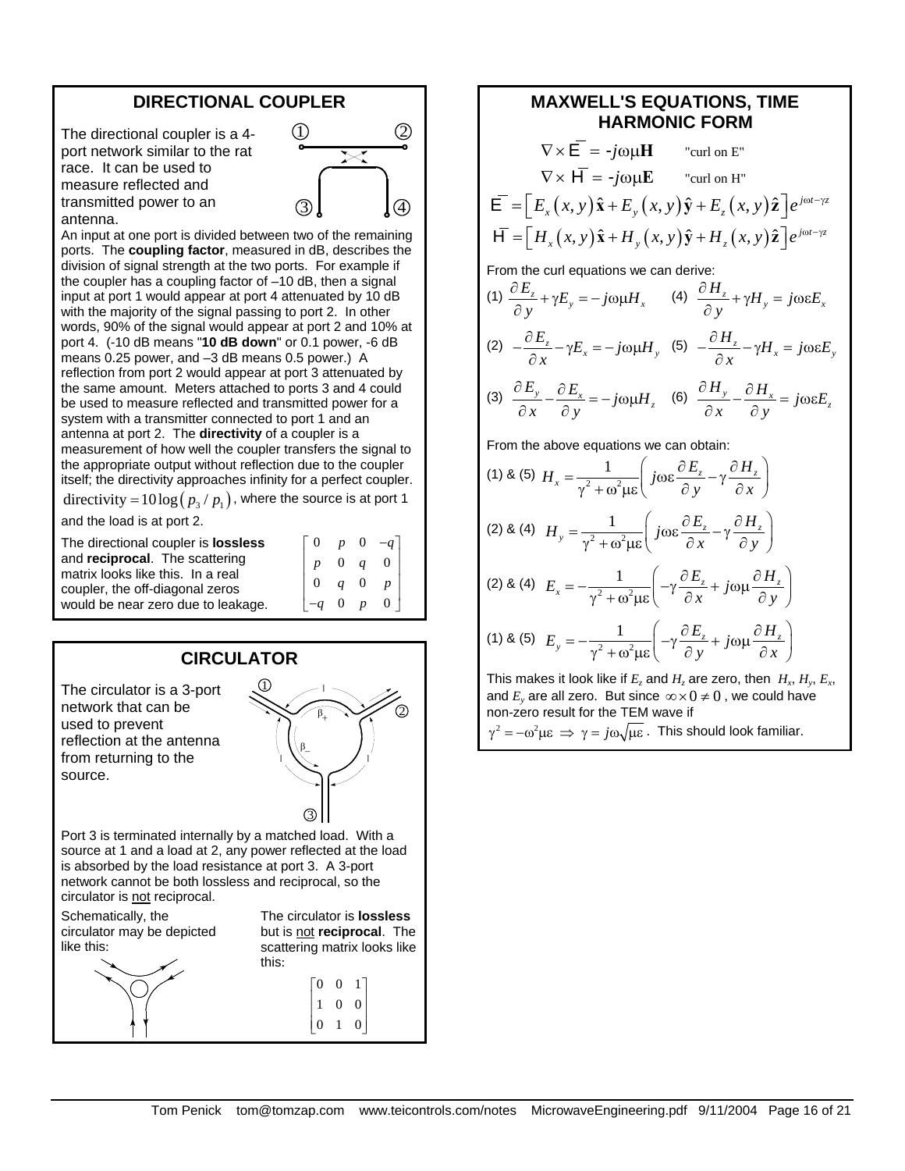#### **DIRECTIONAL COUPLER**

The directional coupler is a 4 port network similar to the rat race. It can be used to measure reflected and transmitted power to an antenna.



An input at one port is divided between two of the remaining ports. The **coupling factor**, measured in dB, describes the division of signal strength at the two ports. For example if the coupler has a coupling factor of –10 dB, then a signal input at port 1 would appear at port 4 attenuated by 10 dB with the majority of the signal passing to port 2. In other words, 90% of the signal would appear at port 2 and 10% at port 4. (-10 dB means "**10 dB down**" or 0.1 power, -6 dB means 0.25 power, and –3 dB means 0.5 power.) A reflection from port 2 would appear at port 3 attenuated by the same amount. Meters attached to ports 3 and 4 could be used to measure reflected and transmitted power for a system with a transmitter connected to port 1 and an antenna at port 2. The **directivity** of a coupler is a measurement of how well the coupler transfers the signal to the appropriate output without reflection due to the coupler itself; the directivity approaches infinity for a perfect coupler.

directivity =  $10\log (p_3 / p_1)$ , where the source is at port 1

and the load is at port 2.

| The directional coupler is <b>lossless</b> |              |             |                | $p \quad 0 \quad -a$ |
|--------------------------------------------|--------------|-------------|----------------|----------------------|
| and reciprocal. The scattering             |              | $0\quad a$  |                |                      |
| matrix looks like this. In a real          |              |             |                |                      |
| coupler, the off-diagonal zeros            |              | $q \quad 0$ |                |                      |
| would be near zero due to leakage.         | $-q \quad 0$ |             | $\overline{D}$ | 0 <sup>1</sup>       |

# **CIRCULATOR**

The circulator is a 3-port network that can be used to prevent reflection at the antenna from returning to the source.



Port 3 is terminated internally by a matched load. With a source at 1 and a load at 2, any power reflected at the load is absorbed by the load resistance at port 3. A 3-port network cannot be both lossless and reciprocal, so the circulator is not reciprocal.

Schematically, the circulator may be depicted like this:



The circulator is **lossless** but is not **reciprocal**. The scattering matrix looks like this:

$$
\begin{bmatrix} 0 & 0 & 1 \\ 1 & 0 & 0 \\ 0 & 1 & 0 \end{bmatrix}
$$

# **MAXWELL'S EQUATIONS, TIME HARMONIC FORM**

$$
\nabla \times \vec{E} = -j\omega \mu \vec{H} \qquad \text{``curl on E''}
$$
  
\n
$$
\nabla \times \vec{H} = -j\omega \mu \vec{E} \qquad \text{``curl on H''}
$$
  
\n
$$
\vec{E} = \left[ E_x(x, y) \hat{x} + E_y(x, y) \hat{y} + E_z(x, y) \hat{z} \right] e^{j\omega t - \gamma z}
$$
  
\n
$$
\vec{H} = \left[ H_x(x, y) \hat{x} + H_y(x, y) \hat{y} + H_z(x, y) \hat{z} \right] e^{j\omega t - \gamma z}
$$
  
\nFrom the curl equations we can derive:

(1) 
$$
\frac{\partial E_z}{\partial y} + \gamma E_y = -j\omega \mu H_x
$$
 (4)  $\frac{\partial H_z}{\partial y} + \gamma H_y = j\omega \epsilon E_x$   
(2)  $-\frac{\partial E_z}{\partial x} - \gamma E_x = -j\omega \mu H_y$  (5)  $-\frac{\partial H_z}{\partial x} - \gamma H_x = j\omega \epsilon E_y$ 

(3) 
$$
\frac{\partial E_y}{\partial x} - \frac{\partial E_x}{\partial y} = -j\omega \mu H_z
$$
 (6) 
$$
\frac{\partial H_y}{\partial x} - \frac{\partial H_x}{\partial y} = j\omega \epsilon E_z
$$

From the above equations we can obtain:

(1) & (5) 
$$
H_x = \frac{1}{\gamma^2 + \omega^2 \mu \epsilon} \left( j \omega \epsilon \frac{\partial E_z}{\partial y} - \gamma \frac{\partial H_z}{\partial x} \right)
$$
  
\n(2) & (4)  $H_y = \frac{1}{\gamma^2 + \omega^2 \mu \epsilon} \left( j \omega \epsilon \frac{\partial E_z}{\partial x} - \gamma \frac{\partial H_z}{\partial y} \right)$   
\n(2) & (4)  $E_x = -\frac{1}{\gamma^2 + \omega^2 \mu \epsilon} \left( -\gamma \frac{\partial E_z}{\partial x} + j \omega \mu \frac{\partial H_z}{\partial y} \right)$   
\n(1) & (5)  $E_y = -\frac{1}{\gamma^2 + \omega^2 \mu \epsilon} \left( -\gamma \frac{\partial E_z}{\partial y} + j \omega \mu \frac{\partial H_z}{\partial x} \right)$ 

This makes it look like if  $E_z$  and  $H_z$  are zero, then  $H_x$ ,  $H_y$ ,  $E_x$ , and  $E_y$  are all zero. But since  $\infty \times 0 \neq 0$ , we could have non-zero result for the TEM wave if  $\gamma^2 = -\omega^2 \mu \epsilon \implies \gamma = j\omega \sqrt{\mu \epsilon}$ . This should look familiar.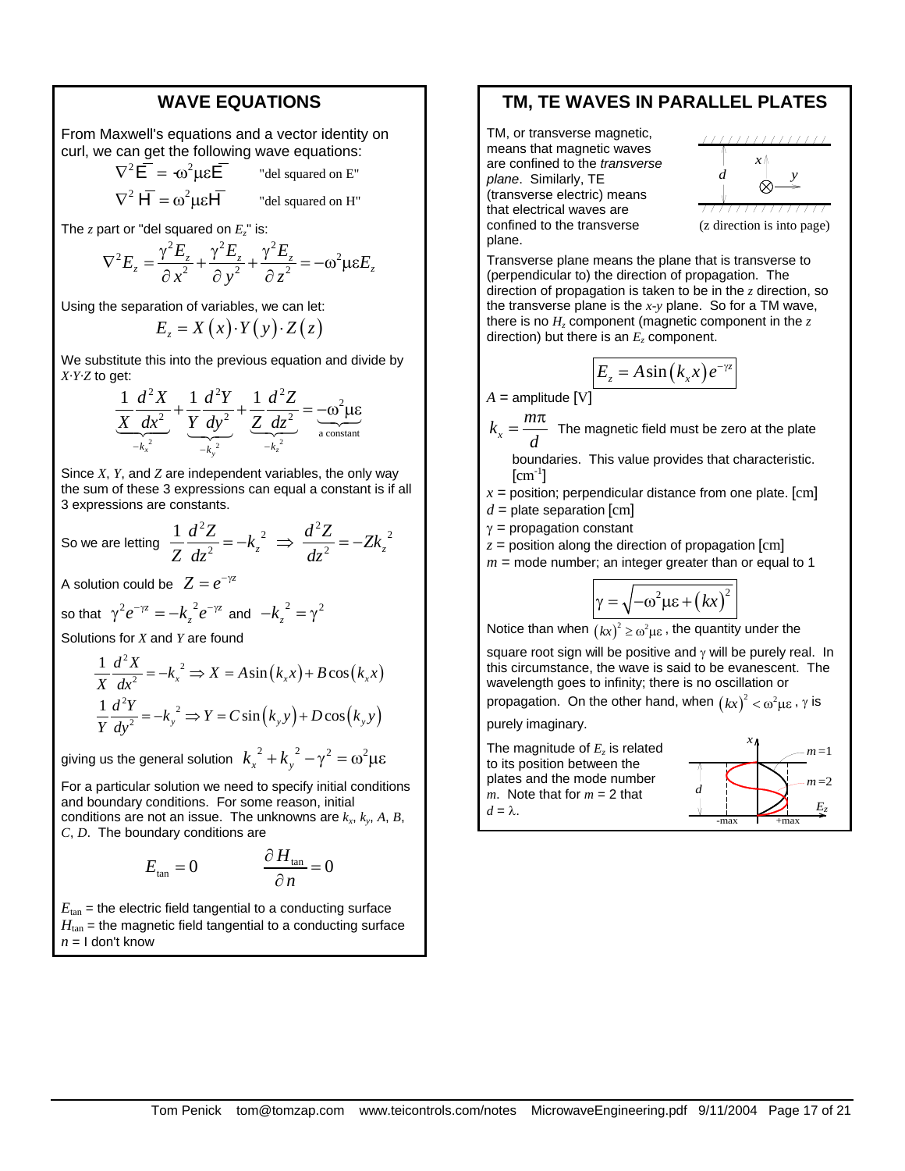#### **WAVE EQUATIONS**

From Maxwell's equations and a vector identity on curl, we can get the following wave equations:

$$
\nabla^2 \vec{E} = \omega^2 \mu \varepsilon \vec{E}
$$
 "del squared on E"

 $\nabla^2 \mathsf{H} = \omega^2 \mu \varepsilon \mathsf{H}$  "del squared on H"

The  $z$  part or "del squared on  $E_z$ " is:

$$
\nabla^2 E_z = \frac{\gamma^2 E_z}{\partial x^2} + \frac{\gamma^2 E_z}{\partial y^2} + \frac{\gamma^2 E_z}{\partial z^2} = -\omega^2 \mu \varepsilon E_z
$$

Using the separation of variables, we can let:

$$
E_z = X(x) \cdot Y(y) \cdot Z(z)
$$

We substitute this into the previous equation and divide by *X·Y·Z* to get:

$$
\frac{1}{X}\frac{d^{2}X}{dx^{2}} + \frac{1}{Y}\frac{d^{2}Y}{dy^{2}} + \frac{1}{Z}\frac{d^{2}Z}{dz^{2}} = -\omega^{2}\mu\varepsilon
$$
  
- $k_{x}^{2}$ 

Since *X*, *Y*, and *Z* are independent variables, the only way the sum of these 3 expressions can equal a constant is if all 3 expressions are constants.

So we are letting 
$$
\frac{1}{Z}\frac{d^2Z}{dz^2} = -k_z^2 \implies \frac{d^2Z}{dz^2} = -Zk_z^2
$$

A solution could be  $Z = e^{-\gamma z}$ 

so that 
$$
\gamma^2 e^{-\gamma z} = -k_z^2 e^{-\gamma z}
$$
 and  $-k_z^2 = \gamma^2$ 

Solutions for *X* and *Y* are found

$$
\frac{1}{X}\frac{d^2X}{dx^2} = -k_x^2 \Rightarrow X = A\sin(k_x x) + B\cos(k_x x)
$$

$$
\frac{1}{Y}\frac{d^2Y}{dy^2} = -k_y^2 \Rightarrow Y = C\sin(k_y y) + D\cos(k_y y)
$$

giving us the general solution  $k_x^2 + k_y^2 - \gamma^2 = \omega^2 \mu \varepsilon$ 

For a particular solution we need to specify initial conditions and boundary conditions. For some reason, initial conditions are not an issue. The unknowns are  $k_x$ ,  $k_y$ ,  $A$ ,  $B$ , *C*, *D*. The boundary conditions are

$$
E_{\tan} = 0 \qquad \qquad \frac{\partial H_{\tan}}{\partial n} = 0
$$

 $E_{tan}$  = the electric field tangential to a conducting surface  $H<sub>tan</sub>$  = the magnetic field tangential to a conducting surface  $n = 1$  don't know

#### **TM, TE WAVES IN PARALLEL PLATES**

TM, or transverse magnetic, means that magnetic waves are confined to the *transverse plane*. Similarly, TE (transverse electric) means that electrical waves are confined to the transverse plane.



Transverse plane means the plane that is transverse to (perpendicular to) the direction of propagation. The direction of propagation is taken to be in the *z* direction, so the transverse plane is the *x-y* plane. So for a TM wave, there is no  $H<sub>z</sub>$  component (magnetic component in the  $z<sub>z</sub>$ direction) but there is an  $E<sub>z</sub>$  component.

$$
E_z = A \sin(k_x x) e^{-\gamma z}
$$

 $A =$ amplitude [V]

 $k_x = \frac{m}{n}$ *d*  $=\frac{m\pi}{\sqrt{m}}$  The magnetic field must be zero at the plate

boundaries. This value provides that characteristic.  $\mathrm{[cm^{-1}]}$ 

- $x =$  position; perpendicular distance from one plate. [cm]  $d =$  plate separation  $[cm]$
- $\gamma$  = propagation constant

 $z =$  position along the direction of propagation  $[cm]$ 

 $m =$  mode number; an integer greater than or equal to 1

$$
\gamma = \sqrt{-\omega^2 \mu \varepsilon + (kx)^2}
$$

Notice than when  $(kx)^2 \geq \omega^2 \mu \varepsilon$ , the quantity under the

square root sign will be positive and  $\gamma$  will be purely real. In this circumstance, the wave is said to be evanescent. The wavelength goes to infinity; there is no oscillation or

propagation. On the other hand, when  $(kx)^2 < \omega^2 \mu \varepsilon$ ,  $\gamma$  is

purely imaginary.

The magnitude of *Ez* is related to its position between the plates and the mode number  $m<sub>1</sub>$ . Note that for  $m = 2$  that  $d = \lambda$ . *d*  $m = 1$ *Ez*  $m = 2$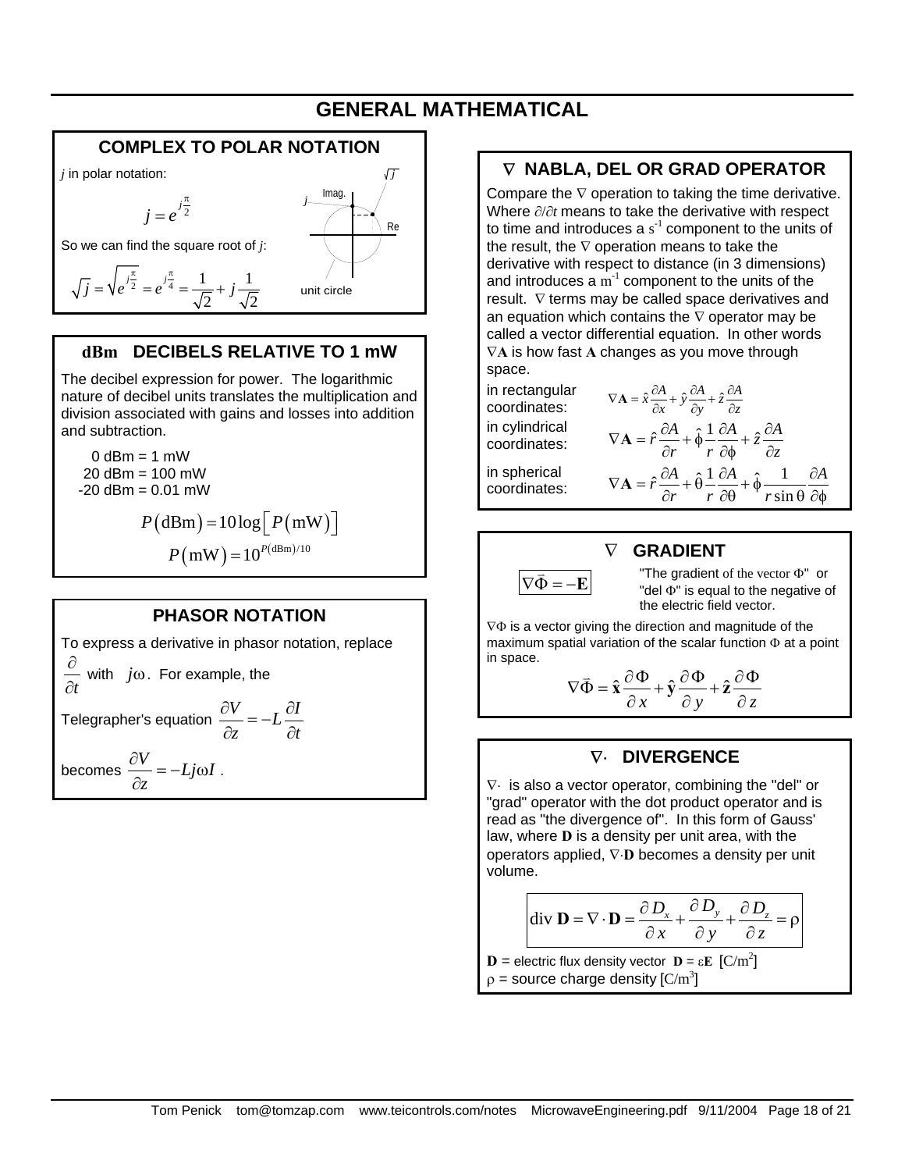# **GENERAL MATHEMATICAL**

#### **COMPLEX TO POLAR NOTATION** *j* in polar notation:  $j = e^{j\frac{n}{2}}$ π  $=e^{t^2}$ So we can find the square root of *j*: Imag. *j j* Re

#### $\frac{\pi}{2}$   $\frac{j\pi}{4}$   $\frac{1}{j\pi}$   $\frac{1}{j\pi}$ 2  $\sqrt{2}$  $\overline{j} = \sqrt{e^{j\frac{\pi}{2}}} = e^{j\frac{\pi}{4}} = \frac{1}{\sqrt{2}} + j$  $=\sqrt{e^{j\frac{\pi}{2}}}=e^{j\frac{\pi}{4}}=\frac{1}{\sqrt{1-\frac{1}{\sqrt{1-\frac{1}{\sqrt{1-\frac{1}{\sqrt{1-\frac{1}{\sqrt{1-\frac{1}{\sqrt{1-\frac{1}{\sqrt{1-\frac{1}{\sqrt{1-\frac{1}{\sqrt{1-\frac{1}{\sqrt{1-\frac{1}{\sqrt{1-\frac{1}{\sqrt{1-\frac{1}{\sqrt{1-\frac{1}{\sqrt{1-\frac{1}{\sqrt{1-\frac{1}{\sqrt{1-\frac{1}{\sqrt{1-\frac{1}{\sqrt{1-\frac{1}{\sqrt{1-\frac{1}{\sqrt{1-\frac{1}{\sqrt{1-\frac{1}{\sqrt$

### **dBm DECIBELS RELATIVE TO 1 mW**

The decibel expression for power. The logarithmic nature of decibel units translates the multiplication and division associated with gains and losses into addition and subtraction.

 $0$  dBm = 1 mW 20 dBm = 100 mW  $-20$  dBm = 0.01 mW

$$
P(\text{dBm}) = 10 \log \left[ P(\text{mW}) \right]
$$

$$
P(\text{mW}) = 10^{P(\text{dBm})/10}
$$

#### **PHASOR NOTATION**

To express a derivative in phasor notation, replace *t* ∂ ∂ with *j*ω. For example, the Telegrapher's equation  $\frac{\partial V}{\partial t} = -L \frac{\partial I}{\partial t}$  $\frac{\partial V}{\partial z} = -L \frac{\partial I}{\partial t}$ becomes  $\frac{\partial V}{\partial t} = -Lj\omega I$ *z*  $\frac{\partial V}{\partial z} = -Lj\omega I$ .

# ∇ **NABLA, DEL OR GRAD OPERATOR**

Compare the  $\nabla$  operation to taking the time derivative. Where ∂/∂*t* means to take the derivative with respect to time and introduces a  $s^{-1}$  component to the units of the result, the  $\nabla$  operation means to take the derivative with respect to distance (in 3 dimensions) and introduces a  $m^{-1}$  component to the units of the result. ∇ terms may be called space derivatives and an equation which contains the  $\nabla$  operator may be called a vector differential equation. In other words ∇**A** is how fast **A** changes as you move through space.

in rectangular in cylindrical coordinates:

in spherical coordinates:

in rectangular  $\nabla \mathbf{A} = \hat{x} \frac{\partial A}{\partial x} + \hat{y} \frac{\partial A}{\partial y} + \hat{z} \frac{\partial A}{\partial z}$  $\hat{r} \frac{\partial A}{\partial r} + \hat{\phi} \frac{1}{r} \frac{\partial A}{\partial r} + \hat{z} \frac{\partial A}{\partial r}$  $\nabla \mathbf{A} = \hat{r} \frac{\partial A}{\partial r} + \hat{\phi} \frac{1}{r} \frac{\partial A}{\partial \phi} + \hat{z} \frac{\partial A}{\partial z}$  $\hat{r}\frac{\partial A}{\partial r} + \hat{\theta}\frac{1}{r}\frac{\partial A}{\partial \theta} + \hat{\phi}\frac{1}{r\sin\theta}\frac{\partial A}{\partial \phi}$  $\nabla \mathbf{A} = \hat{r} \frac{\partial A}{\partial r} + \hat{\theta} \frac{1}{r} \frac{\partial A}{\partial \theta} + \hat{\phi} \frac{1}{r \sin \theta} \frac{\partial A}{\partial \phi}$ 

#### ∇ **GRADIENT**



 $\nabla \vec{\Phi} = -\mathbf{E}$  <sup>"</sup>The gradient of the vector  $\Phi$ " or "del Φ" is equal to the negative of the electric field vector.

∇Φ is a vector giving the direction and magnitude of the maximum spatial variation of the scalar function Φ at a point in space.

$$
\nabla \vec{\Phi} = \hat{\mathbf{x}} \frac{\partial \Phi}{\partial x} + \hat{\mathbf{y}} \frac{\partial \Phi}{\partial y} + \hat{\mathbf{z}} \frac{\partial \Phi}{\partial z}
$$

#### ∇⋅ **DIVERGENCE**

∇⋅ is also a vector operator, combining the "del" or "grad" operator with the dot product operator and is read as "the divergence of". In this form of Gauss' law, where **D** is a density per unit area, with the operators applied, ∇⋅**D** becomes a density per unit volume.

div **D** = 
$$
\nabla \cdot
$$
**D** =  $\frac{\partial D_x}{\partial x} + \frac{\partial D_y}{\partial y} + \frac{\partial D_z}{\partial z} = \rho$ 

**D** = electric flux density vector **D** = ε**E**  $\left[\text{C/m}^2\right]$  $\rho$  = source charge density [C/m<sup>3</sup>]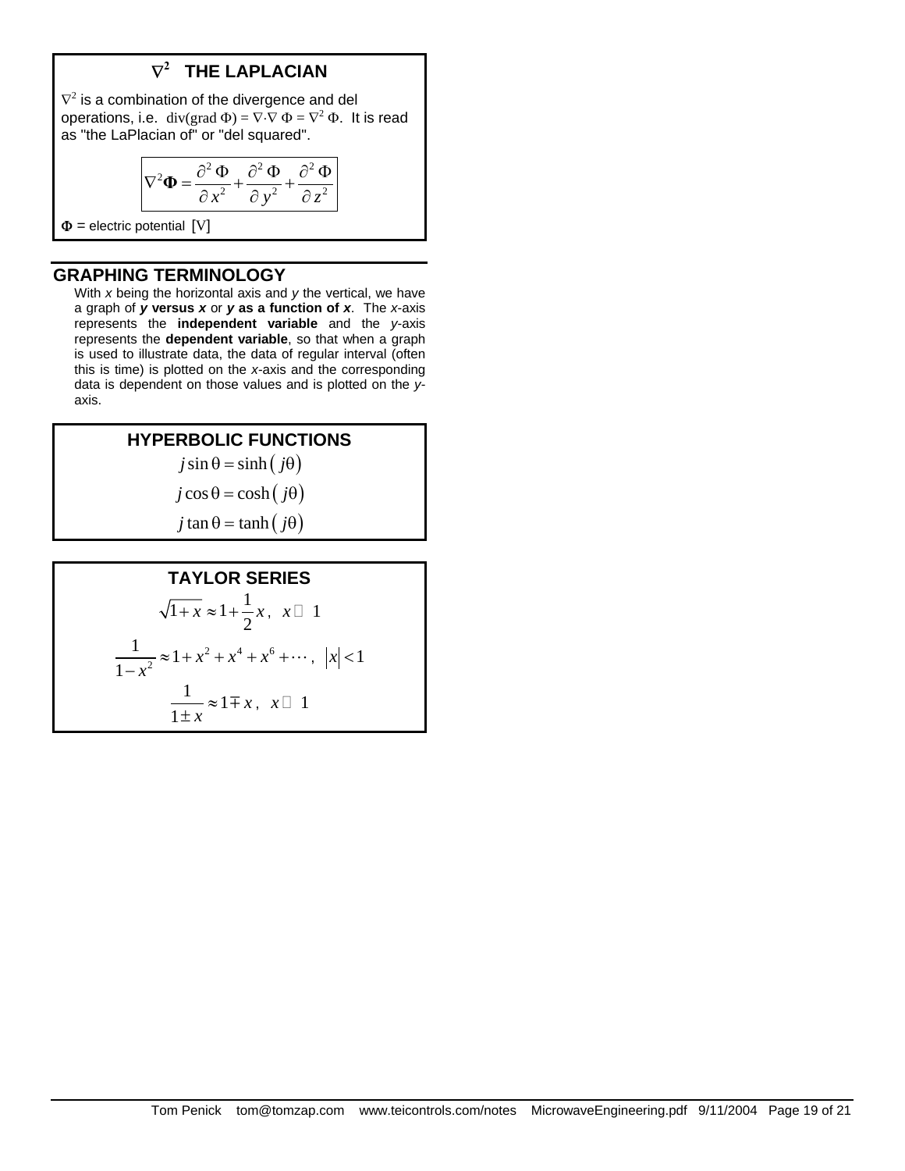# ∇**2 THE LAPLACIAN**

 $\nabla^2$  is a combination of the divergence and del operations, i.e. div(grad  $\Phi$ ) =  $\nabla \cdot \nabla \Phi = \nabla^2 \Phi$ . It is read as "the LaPlacian of" or "del squared".

$$
\nabla^2 \Phi = \frac{\partial^2 \Phi}{\partial x^2} + \frac{\partial^2 \Phi}{\partial y^2} + \frac{\partial^2 \Phi}{\partial z^2}
$$

 $\Phi$  = electric potential [V]

#### **GRAPHING TERMINOLOGY**

 With *x* being the horizontal axis and *y* the vertical, we have a graph of *y* **versus** *x* or *y* **as a function of** *x*. The *x*-axis represents the **independent variable** and the *y*-axis represents the **dependent variable**, so that when a graph is used to illustrate data, the data of regular interval (often this is time) is plotted on the *x*-axis and the corresponding data is dependent on those values and is plotted on the *y*axis.

#### **HYPERBOLIC FUNCTIONS**   $j \sin \theta = \sinh ( j \theta )$

 $j \cos \theta = \cosh ( j \theta )$ 

 $j \tan \theta = \tanh ( j \theta )$ 

#### **TAYLOR SERIES**   $\overline{1 + x} \approx 1 + \frac{1}{2}$  $+x \approx 1 + \frac{1}{2}x, \quad x \square 1$ 2  $\frac{4}{5}$   $\frac{6}{5}$  $\frac{1}{r^2} \approx 1$ 1  $x^2 + x^4 + x$  $\frac{1}{-x^2} \approx 1 + x^2 + x^4 + x^6 + \cdots, \ |x| < 1$  $\frac{1}{1} \approx 1$ 1 *x*  $\frac{1}{\pm x} \approx 1 \mp x$ ,  $x \Box$  1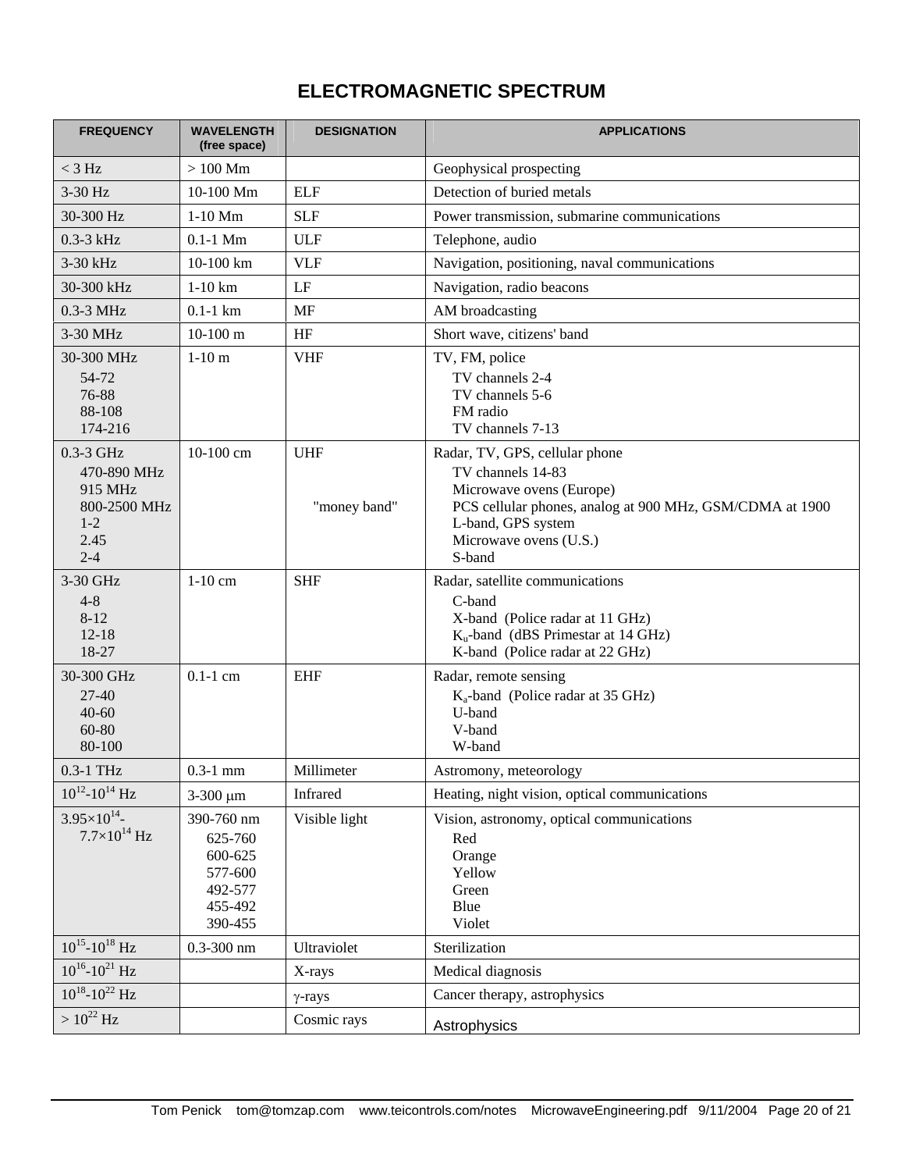# **ELECTROMAGNETIC SPECTRUM**

| <b>FREQUENCY</b>                                                                  | <b>WAVELENGTH</b><br>(free space)                                            | <b>DESIGNATION</b>         | <b>APPLICATIONS</b>                                                                                                                                                                                   |
|-----------------------------------------------------------------------------------|------------------------------------------------------------------------------|----------------------------|-------------------------------------------------------------------------------------------------------------------------------------------------------------------------------------------------------|
| $<$ 3 Hz                                                                          | $>100$ Mm                                                                    |                            | Geophysical prospecting                                                                                                                                                                               |
| 3-30 Hz                                                                           | 10-100 Mm                                                                    | <b>ELF</b>                 | Detection of buried metals                                                                                                                                                                            |
| 30-300 Hz                                                                         | $1-10$ Mm                                                                    | <b>SLF</b>                 | Power transmission, submarine communications                                                                                                                                                          |
| $0.3 - 3$ kHz                                                                     | $0.1-1$ Mm                                                                   | <b>ULF</b>                 | Telephone, audio                                                                                                                                                                                      |
| 3-30 kHz                                                                          | 10-100 km                                                                    | <b>VLF</b>                 | Navigation, positioning, naval communications                                                                                                                                                         |
| 30-300 kHz                                                                        | $1-10$ km                                                                    | LF                         | Navigation, radio beacons                                                                                                                                                                             |
| 0.3-3 MHz                                                                         | $0.1-1$ km                                                                   | <b>MF</b>                  | AM broadcasting                                                                                                                                                                                       |
| 3-30 MHz                                                                          | $10-100$ m                                                                   | HF                         | Short wave, citizens' band                                                                                                                                                                            |
| 30-300 MHz<br>54-72<br>76-88<br>88-108<br>174-216                                 | $1-10$ m                                                                     | <b>VHF</b>                 | TV, FM, police<br>TV channels 2-4<br>TV channels 5-6<br>FM radio<br>TV channels 7-13                                                                                                                  |
| 0.3-3 GHz<br>470-890 MHz<br>915 MHz<br>800-2500 MHz<br>$1 - 2$<br>2.45<br>$2 - 4$ | $10-100$ cm                                                                  | <b>UHF</b><br>"money band" | Radar, TV, GPS, cellular phone<br>TV channels 14-83<br>Microwave ovens (Europe)<br>PCS cellular phones, analog at 900 MHz, GSM/CDMA at 1900<br>L-band, GPS system<br>Microwave ovens (U.S.)<br>S-band |
| 3-30 GHz<br>$4 - 8$<br>$8 - 12$<br>$12 - 18$<br>18-27                             | $1-10$ cm                                                                    | <b>SHF</b>                 | Radar, satellite communications<br>C-band<br>X-band (Police radar at 11 GHz)<br>$K_u$ -band (dBS Primestar at 14 GHz)<br>K-band (Police radar at 22 GHz)                                              |
| 30-300 GHz<br>$27 - 40$<br>$40 - 60$<br>60-80<br>80-100                           | $0.1-1$ cm                                                                   | <b>EHF</b>                 | Radar, remote sensing<br>$K_a$ -band (Police radar at 35 GHz)<br>U-band<br>V-band<br>W-band                                                                                                           |
| 0.3-1 THz                                                                         | $0.3 - 1$ mm                                                                 | Millimeter                 | Astromony, meteorology                                                                                                                                                                                |
| $10^{12} - 10^{14}$ Hz                                                            | $3 - 300 \mu m$                                                              | Infrared                   | Heating, night vision, optical communications                                                                                                                                                         |
| $3.95\times10^{14}$ -<br>$7.7\times10^{14}$ Hz                                    | 390-760 nm<br>625-760<br>600-625<br>577-600<br>492-577<br>455-492<br>390-455 | Visible light              | Vision, astronomy, optical communications<br>Red<br>Orange<br>Yellow<br>Green<br>Blue<br>Violet                                                                                                       |
| $10^{15} - 10^{18}$ Hz                                                            | $0.3 - 300$ nm                                                               | Ultraviolet                | Sterilization                                                                                                                                                                                         |
| $10^{16} - 10^{21}$ Hz                                                            |                                                                              | X-rays                     | Medical diagnosis                                                                                                                                                                                     |
| $10^{18} - 10^{22}$ Hz                                                            |                                                                              | $\gamma$ -rays             | Cancer therapy, astrophysics                                                                                                                                                                          |
| $> 10^{22}$ Hz                                                                    |                                                                              | Cosmic rays                | Astrophysics                                                                                                                                                                                          |